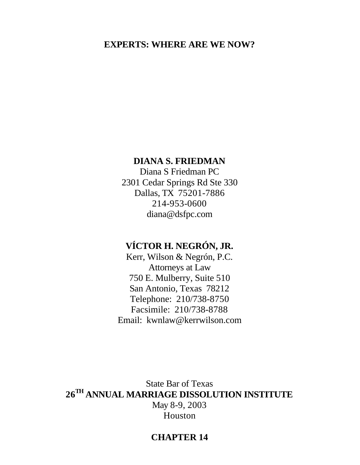## **EXPERTS: WHERE ARE WE NOW?**

# **DIANA S. FRIEDMAN**

Diana S Friedman PC 2301 Cedar Springs Rd Ste 330 Dallas, TX 75201-7886 214-953-0600 diana@dsfpc.com

# **VÍCTOR H. NEGRÓN, JR.**

Kerr, Wilson & Negrón, P.C. Attorneys at Law 750 E. Mulberry, Suite 510 San Antonio, Texas 78212 Telephone: 210/738-8750 Facsimile: 210/738-8788 Email: kwnlaw@kerrwilson.com

State Bar of Texas **26TH ANNUAL MARRIAGE DISSOLUTION INSTITUTE** May 8-9, 2003 Houston

# **CHAPTER 14**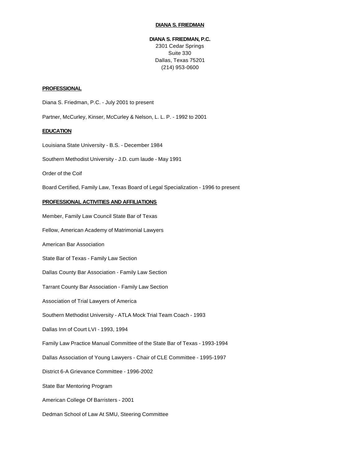#### **DIANA S. FRIEDMAN**

#### **DIANA S. FRIEDMAN, P.C.**

2301 Cedar Springs Suite 330 Dallas, Texas 75201 (214) 953-0600

#### **PROFESSIONAL**

Diana S. Friedman, P.C. - July 2001 to present

Partner, McCurley, Kinser, McCurley & Nelson, L. L. P. - 1992 to 2001

#### **EDUCATION**

Louisiana State University - B.S. - December 1984

Southern Methodist University - J.D. cum laude - May 1991

Order of the Coif

Board Certified, Family Law, Texas Board of Legal Specialization - 1996 to present

#### **PROFESSIONAL ACTIVITIES AND AFFILIATIONS**

Member, Family Law Council State Bar of Texas Fellow, American Academy of Matrimonial Lawyers American Bar Association State Bar of Texas - Family Law Section Dallas County Bar Association - Family Law Section Tarrant County Bar Association - Family Law Section Association of Trial Lawyers of America Southern Methodist University - ATLA Mock Trial Team Coach - 1993 Dallas Inn of Court LVI - 1993, 1994 Family Law Practice Manual Committee of the State Bar of Texas - 1993-1994 Dallas Association of Young Lawyers - Chair of CLE Committee - 1995-1997 District 6-A Grievance Committee - 1996-2002 State Bar Mentoring Program American College Of Barristers - 2001 Dedman School of Law At SMU, Steering Committee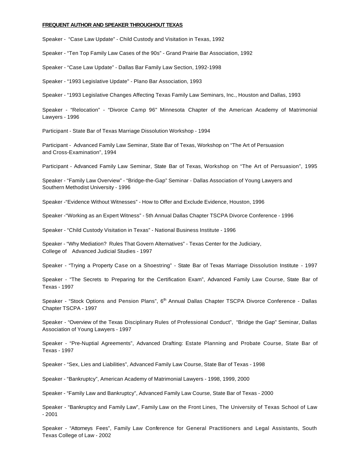#### **FREQUENT AUTHOR AND SPEAKER THROUGHOUT TEXAS**

Speaker - "Case Law Update" - Child Custody and Visitation in Texas, 1992

Speaker - "Ten Top Family Law Cases of the 90s" - Grand Prairie Bar Association, 1992

Speaker - "Case Law Update" - Dallas Bar Family Law Section, 1992-1998

Speaker - "1993 Legislative Update" - Plano Bar Association, 1993

Speaker - "1993 Legislative Changes Affecting Texas Family Law Seminars, Inc., Houston and Dallas, 1993

Speaker - "Relocation" - "Divorce Camp 96" Minnesota Chapter of the American Academy of Matrimonial Lawyers - 1996

Participant - State Bar of Texas Marriage Dissolution Workshop - 1994

Participant - Advanced Family Law Seminar, State Bar of Texas, Workshop on "The Art of Persuasion and Cross-Examination", 1994

Participant - Advanced Family Law Seminar, State Bar of Texas, Workshop on "The Art of Persuasion", 1995

Speaker - "Family Law Overview" - "Bridge-the-Gap" Seminar - Dallas Association of Young Lawyers and Southern Methodist University - 1996

Speaker -"Evidence Without Witnesses" - How to Offer and Exclude Evidence, Houston, 1996

Speaker -"Working as an Expert Witness" - 5th Annual Dallas Chapter TSCPA Divorce Conference - 1996

Speaker - "Child Custody Visitation in Texas" - National Business Institute - 1996

Speaker - "Why Mediation? Rules That Govern Alternatives" - Texas Center for the Judiciary, College of Advanced Judicial Studies - 1997

Speaker - "Trying a Property Case on a Shoestring" - State Bar of Texas Marriage Dissolution Institute - 1997

Speaker - "The Secrets to Preparing for the Certification Exam", Advanced Family Law Course, State Bar of Texas - 1997

Speaker - "Stock Options and Pension Plans", 6<sup>th</sup> Annual Dallas Chapter TSCPA Divorce Conference - Dallas Chapter TSCPA - 1997

Speaker - "Overview of the Texas Disciplinary Rules of Professional Conduct", "Bridge the Gap" Seminar, Dallas Association of Young Lawyers - 1997

Speaker - "Pre-Nuptial Agreements", Advanced Drafting: Estate Planning and Probate Course, State Bar of Texas - 1997

Speaker - "Sex, Lies and Liabilities", Advanced Family Law Course, State Bar of Texas - 1998

Speaker - "Bankruptcy", American Academy of Matrimonial Lawyers - 1998, 1999, 2000

Speaker - "Family Law and Bankruptcy", Advanced Family Law Course, State Bar of Texas - 2000

Speaker - "Bankruptcy and Family Law", Family Law on the Front Lines, The University of Texas School of Law - 2001

Speaker - "Attorneys Fees", Family Law Conference for General Practitioners and Legal Assistants, South Texas College of Law - 2002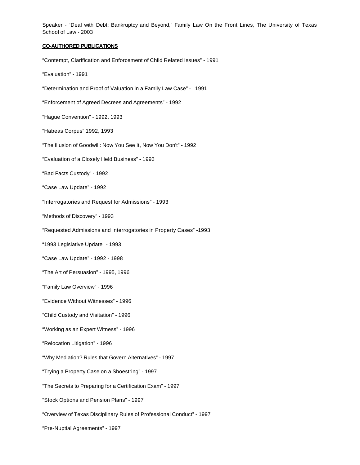Speaker - "Deal with Debt: Bankruptcy and Beyond," Family Law On the Front Lines, The University of Texas School of Law - 2003

**CO-AUTHORED PUBLICATIONS** "Contempt, Clarification and Enforcement of Child Related Issues" - 1991 "Evaluation" - 1991 "Determination and Proof of Valuation in a Family Law Case" - 1991 "Enforcement of Agreed Decrees and Agreements" - 1992 "Hague Convention" - 1992, 1993 "Habeas Corpus" 1992, 1993 "The Illusion of Goodwill: Now You See It, Now You Don't" - 1992 "Evaluation of a Closely Held Business" - 1993 "Bad Facts Custody" - 1992 "Case Law Update" - 1992 "Interrogatories and Request for Admissions" - 1993 "Methods of Discovery" - 1993 "Requested Admissions and Interrogatories in Property Cases" -1993 "1993 Legislative Update" - 1993 "Case Law Update" - 1992 - 1998 "The Art of Persuasion" - 1995, 1996 "Family Law Overview" - 1996 "Evidence Without Witnesses" - 1996 "Child Custody and Visitation" - 1996 "Working as an Expert Witness" - 1996 "Relocation Litigation" - 1996 "Why Mediation? Rules that Govern Alternatives" - 1997 "Trying a Property Case on a Shoestring" - 1997 "The Secrets to Preparing for a Certification Exam" - 1997 "Stock Options and Pension Plans" - 1997 "Overview of Texas Disciplinary Rules of Professional Conduct" - 1997 "Pre-Nuptial Agreements" - 1997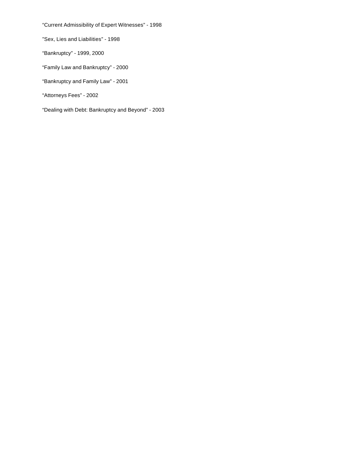"Current Admissibility of Expert Witnesses" - 1998

"Sex, Lies and Liabilities" - 1998

"Bankruptcy" - 1999, 2000

"Family Law and Bankruptcy" - 2000

"Bankruptcy and Family Law" - 2001

"Attorneys Fees" - 2002

"Dealing with Debt: Bankruptcy and Beyond" - 2003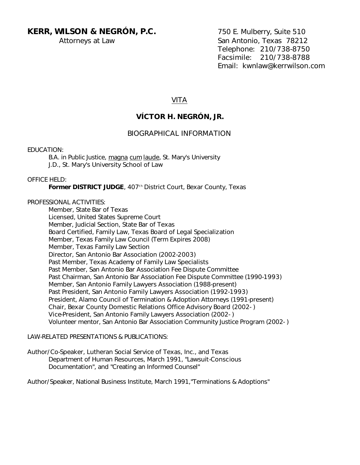## KERR, WILSON & NEGRÓN, P.C. 750 E. Mulberry, Suite 510

Attorneys at Law San Antonio, Texas 78212 Telephone: 210/738-8750 Facsimile: 210/738-8788 Email: kwnlaw@kerrwilson.com

## VITA

## **VÍCTOR H. NEGRÓN, JR.**

## BIOGRAPHICAL INFORMATION

EDUCATION:

B.A. in Public Justice, magna cum laude, St. Mary's University J.D., St. Mary's University School of Law

## OFFICE HELD:

Former DISTRICT JUDGE, 407<sup>th</sup> District Court, Bexar County, Texas

## PROFESSIONAL ACTIVITIES:

Member, State Bar of Texas Licensed, United States Supreme Court Member, Judicial Section, State Bar of Texas Board Certified, Family Law, Texas Board of Legal Specialization Member, Texas Family Law Council (Term Expires 2008) Member, Texas Family Law Section Director, San Antonio Bar Association (2002-2003) Past Member, Texas Academy of Family Law Specialists Past Member, San Antonio Bar Association Fee Dispute Committee Past Chairman, San Antonio Bar Association Fee Dispute Committee (1990-1993) Member, San Antonio Family Lawyers Association (1988-present) Past President, San Antonio Family Lawyers Association (1992-1993) President, Alamo Council of Termination & Adoption Attorneys (1991-present) Chair, Bexar County Domestic Relations Office Advisory Board (2002- ) Vice-President, San Antonio Family Lawyers Association (2002- ) Volunteer mentor, San Antonio Bar Association Community Justice Program (2002- )

## LAW-RELATED PRESENTATIONS & PUBLICATIONS:

Author/Co-Speaker, Lutheran Social Service of Texas, Inc., and Texas Department of Human Resources, March 1991, "Lawsuit-Conscious Documentation", and "Creating an Informed Counsel"

Author/Speaker, National Business Institute, March 1991,"Terminations & Adoptions"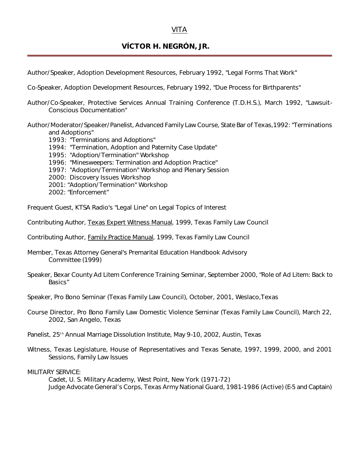## **VÍCTOR H. NEGRÓN, JR.**

Author/Speaker, Adoption Development Resources, February 1992, "Legal Forms That Work"

Co-Speaker, Adoption Development Resources, February 1992, "Due Process for Birthparents"

- Author/Co-Speaker, Protective Services Annual Training Conference (T.D.H.S.), March 1992, "Lawsuit-Conscious Documentation"
- Author/Moderator/Speaker/Panelist, Advanced Family Law Course, State Bar of Texas,1992: "Terminations and Adoptions"
	- 1993: "Terminations and Adoptions"
	- 1994: "Termination, Adoption and Paternity Case Update"
	- 1995: "Adoption/Termination" Workshop
	- 1996: "Minesweepers: Termination and Adoption Practice"
	- 1997: "Adoption/Termination" Workshop and Plenary Session
	- 2000: Discovery Issues Workshop
	- 2001: "Adoption/Termination" Workshop
	- 2002: "Enforcement"

Frequent Guest, KTSA Radio's "Legal Line" on Legal Topics of Interest

- Contributing Author, Texas Expert Witness Manual, 1999, Texas Family Law Council
- Contributing Author, **Family Practice Manual**, 1999, Texas Family Law Council
- Member, Texas Attorney General's Premarital Education Handbook Advisory Committee (1999)
- Speaker, Bexar County Ad Litem Conference Training Seminar, September 2000, "Role of Ad Litem: Back to Basics"
- Speaker, Pro Bono Seminar (Texas Family Law Council), October, 2001, Weslaco,Texas
- Course Director, Pro Bono Family Law Domestic Violence Seminar (Texas Family Law Council), March 22, 2002, San Angelo, Texas
- Panelist, 25<sup>th</sup> Annual Marriage Dissolution Institute, May 9-10, 2002, Austin, Texas
- Witness, Texas Legislature, House of Representatives and Texas Senate, 1997, 1999, 2000, and 2001 Sessions, Family Law Issues

MILITARY SERVICE:

Cadet, U. S. Military Academy, West Point, New York (1971-72) Judge Advocate General's Corps, Texas Army National Guard, 1981-1986 (Active) (E-5 and Captain)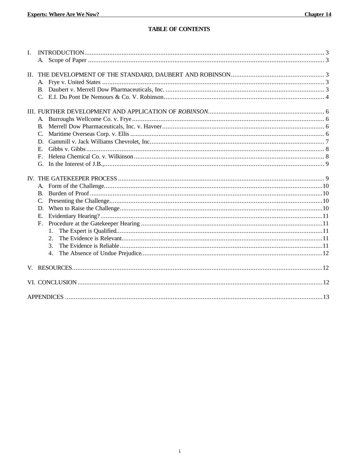## **TABLE OF CONTENTS**

| I.  |                                                                                          |  |
|-----|------------------------------------------------------------------------------------------|--|
| II. |                                                                                          |  |
|     | B.<br>$C_{\cdot}$<br>D.<br>$E_{\perp}$<br>F.<br>G.                                       |  |
|     | B.<br>D.<br>$E_{\rm c}$<br>$F_{\perp}$<br>$\mathbf{1}$ .<br>$\overline{2}$ .<br>3.<br>4. |  |
|     |                                                                                          |  |
|     |                                                                                          |  |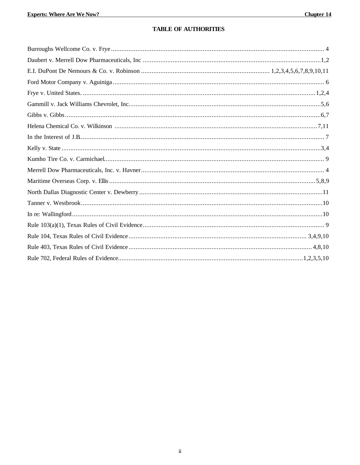## **TABLE OF AUTHORITIES**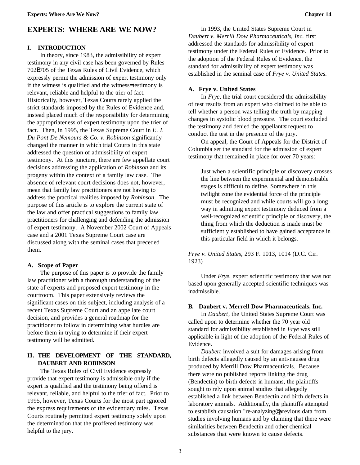## **EXPERTS: WHERE ARE WE NOW?**

#### **I. INTRODUCTION**

In theory, since 1983, the admissibility of expert testimony in any civil case has been governed by Rules 702B705 of the Texas Rules of Civil Evidence, which expressly permit the admission of expert testimony only if the witness is qualified and the witness= testimony is relevant, reliable and helpful to the trier of fact. Historically, however, Texas Courts rarely applied the strict standards imposed by the Rules of Evidence and, instead placed much of the responsibility for determining the appropriateness of expert testimony upon the trier of fact. Then, in 1995, the Texas Supreme Court in *E. I. Du Pont De Nemours & Co. v. Robinson* significantly changed the manner in which trial Courts in this state addressed the question of admissibility of expert testimony. At this juncture, there are few appellate court decisions addressing the application of *Robinson* and its progeny within the context of a family law case. The absence of relevant court decisions does not, however, mean that family law practitioners are not having to address the practical realities imposed by *Robinson*. The purpose of this article is to explore the current state of the law and offer practical suggestions to family law practitioners for challenging and defending the admission of expert testimony. A November 2002 Court of Appeals case and a 2001 Texas Supreme Court case are discussed along with the seminal cases that preceded them.

### **A. Scope of Paper**

The purpose of this paper is to provide the family law practitioner with a thorough understanding of the state of experts and proposed expert testimony in the courtroom. This paper extensively reviews the significant cases on this subject, including analysis of a recent Texas Supreme Court and an appellate court decision, and provides a general roadmap for the practitioner to follow in determining what hurdles are before them in trying to determine if their expert testimony will be admitted.

## **II. THE DEVELOPMENT OF THE STANDARD, DAUBERT AND ROBINSON**

The Texas Rules of Civil Evidence expressly provide that expert testimony is admissible only if the expert is qualified and the testimony being offered is relevant, reliable, and helpful to the trier of fact. Prior to 1995, however, Texas Courts for the most part ignored the express requirements of the evidentiary rules. Texas Courts routinely permitted expert testimony solely upon the determination that the proffered testimony was helpful to the jury.

In 1993, the United States Supreme Court in *Daubert v. Merrill Dow Pharmaceuticals, Inc.* first addressed the standards for admissibility of expert testimony under the Federal Rules of Evidence. Prior to the adoption of the Federal Rules of Evidence, the standard for admissibility of expert testimony was established in the seminal case of *Frye v. United States.*

#### **A. Frye v. United States**

In *Frye*, the trial court considered the admissibility of test results from an expert who claimed to be able to tell whether a person was telling the truth by mapping changes in systolic blood pressure. The court excluded the testimony and denied the appellant is request to conduct the test in the presence of the jury.

On appeal, the Court of Appeals for the District of Columbia set the standard for the admission of expert testimony that remained in place for over 70 years:

Just when a scientific principle or discovery crosses the line between the experimental and demonstrable stages is difficult to define. Somewhere in this twilight zone the evidential force of the principle must be recognized and while courts will go a long way in admitting expert testimony deduced from a well-recognized scientific principle or discovery, the thing from which the deduction is made must be sufficiently established to have gained acceptance in this particular field in which it belongs.

*Frye v. United States*, 293 F. 1013, 1014 (D.C. Cir. 1923)

Under *Frye*, expert scientific testimony that was not based upon generally accepted scientific techniques was inadmissible.

### **B. Daubert v. Merrell Dow Pharmaceuticals, Inc.**

In *Daubert*, the United States Supreme Court was called upon to determine whether the 70 year old standard for admissibility established in *Frye* was still applicable in light of the adoption of the Federal Rules of Evidence.

*Daubert* involved a suit for damages arising from birth defects allegedly caused by an anti-nausea drug produced by Merrill Dow Pharmaceuticals. Because there were no published reports linking the drug (Bendectin) to birth defects in humans, the plaintiffs sought to rely upon animal studies that allegedly established a link between Bendectin and birth defects in laboratory animals. Additionally, the plaintiffs attempted to establish causation "re-analyzing@ previous data from studies involving humans and by claiming that there were similarities between Bendectin and other chemical substances that were known to cause defects.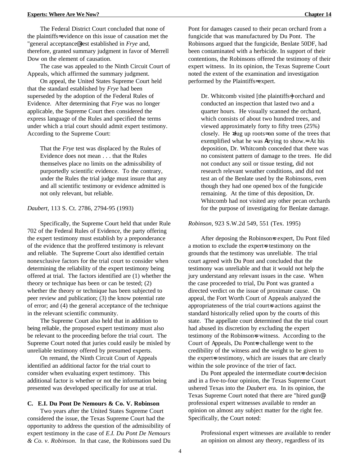The Federal District Court concluded that none of the plaintiffs= evidence on this issue of causation met the "general acceptance@ test established in *Frye* and, therefore, granted summary judgment in favor of Merrell Dow on the element of causation.

The case was appealed to the Ninth Circuit Court of Appeals, which affirmed the summary judgment.

On appeal, the United States Supreme Court held that the standard established by *Frye* had been superseded by the adoption of the Federal Rules of Evidence. After determining that *Frye* was no longer applicable, the Supreme Court then considered the express language of the Rules and specified the terms under which a trial court should admit expert testimony. According to the Supreme Court:

That the *Frye* test was displaced by the Rules of Evidence does not mean . . . that the Rules themselves place no limits on the admissibility of purportedly scientific evidence. To the contrary, under the Rules the trial judge must insure that any and all scientific testimony or evidence admitted is not only relevant, but reliable.

#### *Daubert*, 113 S. Ct. 2786, 2794-95 (1993)

Specifically, the Supreme Court held that under Rule 702 of the Federal Rules of Evidence, the party offering the expert testimony must establish by a preponderance of the evidence that the proffered testimony is relevant and reliable. The Supreme Court also identified certain nonexclusive factors for the trial court to consider when determining the reliability of the expert testimony being offered at trial. The factors identified are (1) whether the theory or technique has been or can be tested; (2) whether the theory or technique has been subjected to peer review and publication; (3) the know potential rate of error; and (4) the general acceptance of the technique in the relevant scientific community.

The Supreme Court also held that in addition to being reliable, the proposed expert testimony must also be relevant to the proceeding before the trial court. The Supreme Court noted that juries could easily be misled by unreliable testimony offered by presumed experts.

On remand, the Ninth Circuit Court of Appeals identified an additional factor for the trial court to consider when evaluating expert testimony. This additional factor is whether or not the information being presented was developed specifically for use at trial.

### **C. E.I. Du Pont De Nemours & Co. V. Robinson**

Two years after the United States Supreme Court considered the issue, the Texas Supreme Court had the opportunity to address the question of the admissibility of expert testimony in the case of *E.I. Du Pont De Nemours & Co. v. Robinson*. In that case, the Robinsons sued Du Pont for damages caused to their pecan orchard from a fungicide that was manufactured by Du Pont. The Robinsons argued that the fungicide, Benlate 50DF, had been contaminated with a herbicide. In support of their contentions, the Robinsons offered the testimony of their expert witness. In its opinion, the Texas Supreme Court noted the extent of the examination and investigation performed by the Plaintiffs= expert.

Dr. Whitcomb visited [the plaintiffs=] orchard and conducted an inspection that lasted two and a quarter hours. He visually scanned the orchard, which consists of about two hundred trees, and viewed approximately forty to fifty trees (25%) closely. He >dug up roots= on some of the trees that exemplified what he was Atrying to show.= At his deposition, Dr. Whitcomb conceded that there was no consistent pattern of damage to the trees. He did not conduct any soil or tissue testing, did not research relevant weather conditions, and did not test an of the Benlate used by the Robinsons, even though they had one opened box of the fungicide remaining. At the time of this deposition, Dr. Whitcomb had not visited any other pecan orchards for the purpose of investigating for Benlate damage.

#### *Robinson*, 923 S.W.2d 549, 551 (Tex. 1995)

After deposing the Robinsons expert, Du Pont filed a motion to exclude the expert-s testimony on the grounds that the testimony was unreliable. The trial court agreed with Du Pont and concluded that the testimony was unreliable and that it would not help the jury understand any relevant issues in the case. When the case proceeded to trial, Du Pont was granted a directed verdict on the issue of proximate cause. On appeal, the Fort Worth Court of Appeals analyzed the appropriateness of the trial court-s actions against the standard historically relied upon by the courts of this state. The appellate court determined that the trial court had abused its discretion by excluding the expert testimony of the Robinsons witness. According to the Court of Appeals, Du Ponts challenge went to the credibility of the witness and the weight to be given to the expert-s testimony, which are issues that are clearly within the sole province of the trier of fact.

Du Pont appealed the intermediate court-s decision and in a five-to-four opinion, the Texas Supreme Court ushered Texas into the *Daubert* era. In its opinion, the Texas Supreme Court noted that there are "hired gun@ professional expert witnesses available to render an opinion on almost any subject matter for the right fee. Specifically, the Court noted:

Professional expert witnesses are available to render an opinion on almost any theory, regardless of its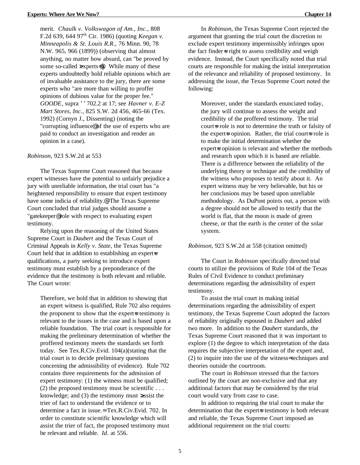merit. *Chaulk v. Volkswagon of Am., Inc.*, 808 F.2d 639, 644 97th Cir. 1986) (quoting *Keegan v. Minneapolis & St. Louis R.R.,* 76 Minn. 90, 78 N.W. 965, 966 (1899)) (observing that almost anything, no matter how absurd, can "be proved by some so-called  $\exp$ experts=@). While many of these experts undoubtedly hold reliable opinions which are of invaluable assistance to the jury, there are some experts who "are more than willing to proffer opinions of dubious value for the proper fee." *GOODE*, supra ''702.2 at 17; see *Havner v. E-Z Mart Stores, Inc.*, 825 S.W. 2d 456, 465-66 (Tex. 1992) (Cornyn J., Dissenting) (noting the "corrupting influence@ of the use of experts who are paid to conduct an investigation and render an opinion in a case).

#### *Robinson*, 923 S.W.2d at 553

The Texas Supreme Court reasoned that because expert witnesses have the potential to unfairly prejudice a jury with unreliable information, the trial court has "a heightened responsibility to ensure that expert testimony have some indicia of reliability.<sup>@</sup> The Texas Supreme Court concluded that trial judges should assume a "gatekeeper@ role with respect to evaluating expert testimony.

Relying upon the reasoning of the United States Supreme Court in *Daubert* and the Texas Court of Criminal Appeals in *Kelly v. State*, the Texas Supreme Court held that in addition to establishing an expert-s qualifications, a party seeking to introduce expert testimony must establish by a preponderance of the evidence that the testimony is both relevant and reliable. The Court wrote:

Therefore, we hold that in addition to showing that an expert witness is qualified, Rule 702 also requires the proponent to show that the expert-s testimony is relevant to the issues in the case and is based upon a reliable foundation. The trial court is responsible for making the preliminary determination of whether the proffered testimony meets the standards set forth today. See Tex.R.Civ.Evid. 104(a)(stating that the trial court is to decide preliminary questions concerning the admissibility of evidence). Rule 702 contains three requirements for the admission of expert testimony: (1) the witness must be qualified; (2) the proposed testimony must be scientific  $\dots$ knowledge; and (3) the testimony must >assist the trier of fact to understand the evidence or to determine a fact in issue.= Tex.R.Civ.Evid. 702. In order to constitute scientific knowledge which will assist the trier of fact, the proposed testimony must be relevant and reliable. *Id*. at 556.

In *Robinson*, the Texas Supreme Court rejected the argument that granting the trial court the discretion to exclude expert testimony impermissibly infringes upon the fact finder is right to assess credibility and weigh evidence. Instead, the Court specifically noted that trial courts are responsible for making the initial interpretation of the relevance and reliability of proposed testimony. In addressing the issue, the Texas Supreme Court noted the following:

Moreover, under the standards enunciated today, the jury will continue to assess the weight and credibility of the proffered testimony. The trial court-s role is not to determine the truth or falsity of the expert-s opinion. Rather, the trial court-s role is to make the initial determination whether the expert=s opinion is relevant and whether the methods and research upon which it is based are reliable. There is a difference between the reliability of the underlying theory or technique and the credibility of the witness who proposes to testify about it. An expert witness may be very believable, but his or her conclusions may be based upon unreliable methodology. As DuPont points out, a person with a degree should not be allowed to testify that the world is flat, that the moon is made of green cheese, or that the earth is the center of the solar system.

#### *Robinson*, 923 S.W.2d at 558 (citation omitted)

The Court in *Robinson* specifically directed trial courts to utilize the provisions of Rule 104 of the Texas Rules of Civil Evidence to conduct preliminary determinations regarding the admissibility of expert testimony.

To assist the trial court in making initial determinations regarding the admissibility of expert testimony, the Texas Supreme Court adopted the factors of reliability originally espoused in *Daubert* and added two more. In addition to the *Daubert* standards, the Texas Supreme Court reasoned that it was important to explore (1) the degree to which interpretation of the data requires the subjective interpretation of the expert and, (2) to inquire into the use of the witness= techniques and theories outside the courtroom.

The court in *Robinson* stressed that the factors outlined by the court are non-exclusive and that any additional factors that may be considered by the trial court would vary from case to case.

In addition to requiring the trial court to make the determination that the expert=s testimony is both relevant and reliable, the Texas Supreme Court imposed an additional requirement on the trial courts: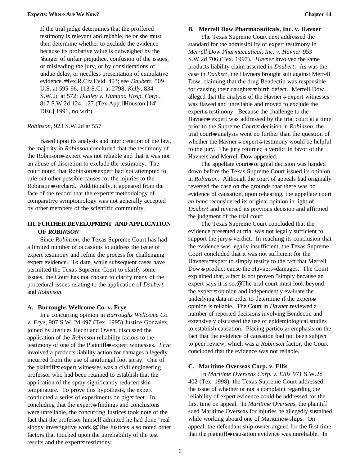If the trial judge determines that the proffered testimony is relevant and reliable, he or she must then determine whether to exclude the evidence because its probative value is outweighed by the >danger of unfair prejudice, confusion of the issues, or misleading the jury, or by considerations of undue delay, or needless presentation of cumulative evidence.= Tex.R.Civ.Evid. 403; see *Daubert*, 509 U.S. at 595-96, 113 S.Ct. at 2798; *Kelly*, 834 S.W.2d at 572; *Dudley v. Humana Hosp. Corp*., 817 S.W.2d 124, 127 (Tex.App. BHouston [14<sup>th</sup>] Dist.] 1991, no writ).

#### *Robinson*, 923 S.W.2d at 557

Based upon its analysis and interpretation of the law, the majority in *Robinson* concluded that the testimony of the Robinson=s expert was not reliable and that it was not an abuse of discretion to exclude the testimony. The court noted that Robinsons expert had not attempted to rule out other possible causes for the injuries to the Robinson=s orchard. Additionally, it appeared from the face of the record that the expert-s methodology of comparative symptomology was not generally accepted by other members of the scientific community.

### **III. FURTHER DEVELOPMENT AND APPLICATION OF** *ROBINSON*

Since *Robinson*, the Texas Supreme Court has had a limited number of occasions to address the issue of expert testimony and refine the process for challenging expert evidence. To date, while subsequent cases have permitted the Texas Supreme Court to clarify some issues, the Court has not chosen to clarify many of the procedural issues relating to the application of *Daubert* and *Robinson*.

#### **A. Burroughs Wellcome Co. v. Frye**

In a concurring opinion in *Burroughs Wellcome Co. v. Frye*, 907 S.W. 2d 497 (Tex. 1995) Justice Gonzalez, joined by Justices Hecht and Owen, discussed the application of the *Robinson* reliability factors to the testimony of one of the Plaintiff=s expert witnesses. *Frye* involved a products liability action for damages allegedly incurred from the use of antifungal foot spray. One of the plaintiff=s expert witnesses was a civil engineering professor who had been retained to establish that the application of the spray significantly reduced skin temperature. To prove this hypothesis, the expert conducted a series of experiments on pig=s feet. In concluding that the expert-s findings and conclusions were unreliable, the concurring Justices took note of the fact that the professor himself admitted he had done "real sloppy investigative work.@ The Justices also noted other factors that touched upon the unreliability of the test results and the expert=s testimony.

### **B. Merrell Dow Pharmaceuticals, Inc. v. Havner**

The Texas Supreme Court next addressed the standard for the admissibility of expert testimony in *Merrell Dow Pharmaceutical, Inc. v. Havner* 953 S.W.2d 706 (Tex. 1997). *Havner* involved the same products liability claim asserted in *Daubert*. As was the case in *Daubert*, the Havners brought suit against Merrell Dow, claiming that the drug Bendectin was responsible for causing their daughter is birth defect. Merrell Dow alleged that the analysis of the Havners expert witnesses was flawed and unreliable and moved to exclude the expert-s testimony. Because the challenge to the Havner-s expert was addressed by the trial court at a time prior to the Supreme Court=s decision in *Robinson*, the trial court-s analysis went no further than the question of whether the Havners experts testimony would be helpful to the jury. The jury returned a verdict in favor of the Havners and Merrell Dow appealed.

The appellate court=s original decision was handed down before the Texas Supreme Court issued its opinion in *Robinson*. Although the court of appeals had originally reversed the case on the grounds that there was no evidence of causation, upon rehearing, the appellate court *en banc* reconsidered its original opinion in light of *Daubert* and reversed its previous decision and affirmed the judgment of the trial court.

The Texas Supreme Court concluded that the evidence presented at trial was not legally sufficient to support the jury-s verdict. In reaching its conclusion that the evidence was legally insufficient, the Texas Supreme Court concluded that it was not sufficient for the Havners= expert to simply testify to the fact that Merrell Dow=s product cause the Havners= damages. The Court explained that, a fact is not proven "simply because an expert says it is so.@ The trial court must look beyond the expert=s opinion and independently evaluate the underlying data in order to determine if the expert-s opinion is reliable. The Court in *Havner* reviewed a number of reported decisions involving Bendectin and extensively discussed the use of epidemiological studies to establish causation. Placing particular emphasis on the fact that the evidence of causation had not been subject to peer review, which was a *Robinson* factor, the Court concluded that the evidence was not reliable.

#### **C. Maritime Overseas Corp. v. Ellis**

In *Maritime Overseas Corp. v. Ellis* 971 S.W.2d 402 (Tex. 1998), the Texas Supreme Court addressed the issue of whether or not a complaint regarding the reliability of expert evidence could be addressed for the first time on appeal. In *Maritime Overseas*, the plaintiff sued Maritime Overseas for injuries he allegedly sustained while working aboard one of Maritime-s ships. On appeal, the defendant ship owner argued for the first time that the plaintiff=s causation evidence was unreliable. In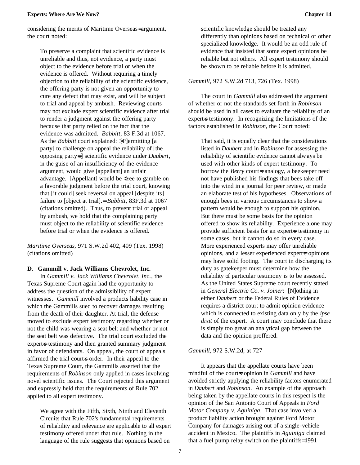considering the merits of Maritime Overseas= argument, the court noted:

To preserve a complaint that scientific evidence is unreliable and thus, not evidence, a party must object to the evidence before trial or when the evidence is offered. Without requiring a timely objection to the reliability of the scientific evidence, the offering party is not given an opportunity to cure any defect that may exist, and will be subject to trial and appeal by ambush. Reviewing courts may not exclude expert scientific evidence after trial to render a judgment against the offering party because that party relied on the fact that the evidence was admitted. *Babbitt*, 83 F.3d at 1067. As the *Babbitt* court explained:  $\sqrt{P}$  ermitting [a party] to challenge on appeal the reliability of [the opposing party=s] scientific evidence under *Daubert*, in the guise of an insufficiency-of-the-evidence argument, would give [appellant] an unfair advantage. [Appellant] would be >free to gamble on a favorable judgment before the trial court, knowing that [it could] seek reversal on appeal [despite its] failure to [object at trial].= *Babbitt*, 83F.3d at 1067 (citations omitted). Thus, to prevent trial or appeal by ambush, we hold that the complaining party must object to the reliability of scientific evidence before trial or when the evidence is offered.

*Maritime Overseas*, 971 S.W.2d 402, 409 (Tex. 1998) (citations omitted)

#### **D. Gammill v. Jack Williams Chevrolet, Inc.**

In *Gammill v. Jack Williams Chevrolet, Inc.,* the Texas Supreme Court again had the opportunity to address the question of the admissibility of expert witnesses. *Gammill* involved a products liability case in which the Gammills sued to recover damages resulting from the death of their daughter. At trial, the defense moved to exclude expert testimony regarding whether or not the child was wearing a seat belt and whether or not the seat belt was defective. The trial court excluded the expert-s testimony and then granted summary judgment in favor of defendants. On appeal, the court of appeals affirmed the trial court=s order. In their appeal to the Texas Supreme Court, the Gammills asserted that the requirements of *Robinson* only applied in cases involving novel scientific issues. The Court rejected this argument and expressly held that the requirements of Rule 702 applied to all expert testimony.

We agree with the Fifth, Sixth, Ninth and Eleventh Circuits that Rule 702's fundamental requirements of reliability and relevance are applicable to all expert testimony offered under that rule. Nothing in the language of the rule suggests that opinions based on

scientific knowledge should be treated any differently than opinions based on technical or other specialized knowledge. It would be an odd rule of evidence that insisted that some expert opinions be reliable but not others. All expert testimony should be shown to be reliable before it is admitted.

#### *Gammill*, 972 S.W.2d 713, 726 (Tex. 1998)

The court in *Gammill* also addressed the argument of whether or not the standards set forth in *Robinson* should be used in all cases to evaluate the reliability of an expert=s testimony. In recognizing the limitations of the factors established in *Robinson*, the Court noted:

That said, it is equally clear that the considerations listed in *Daubert* and in *Robinson* for assessing the reliability of scientific evidence cannot always be used with other kinds of expert testimony. To borrow the *Berry* court-s analogy, a beekeeper need not have published his findings that bees take off into the wind in a journal for peer review, or made an elaborate test of his hypotheses. Observations of enough bees in various circumstances to show a pattern would be enough to support his opinion. But there must be some basis for the opinion offered to show its reliability. Experience alone may provide sufficient basis for an expert=s testimony in some cases, but it cannot do so in every case. More experienced experts may offer unreliable opinions, and a lesser experienced expert=s opinions may have solid footing. The court in discharging its duty as gatekeeper must determine how the reliability of particular testimony is to be assessed. As the United States Supreme court recently stated in *General Electric Co. v. Joiner*: [N]othing in either *Daubert* or the Federal Rules of Evidence requires a district court to admit opinion evidence which is connected to existing data only by the *ipse dixit* of the expert. A court may conclude that there is simply too great an analytical gap between the data and the opinion proffered.

#### *Gammill*, 972 S.W.2d, at 727

It appears that the appellate courts have been mindful of the court-s opinion in *Gammill* and have avoided strictly applying the reliability factors enumerated in *Daubert* and *Robinson*. An example of the approach being taken by the appellate courts in this respect is the opinion of the San Antonio Court of Appeals in *Ford Motor Company v. Aguiniga*. That case involved a product liability action brought against Ford Motor Company for damages arising out of a single-vehicle accident in Mexico. The plaintiffs in *Aguiniga* claimed that a fuel pump relay switch on the plaintiffs= 1991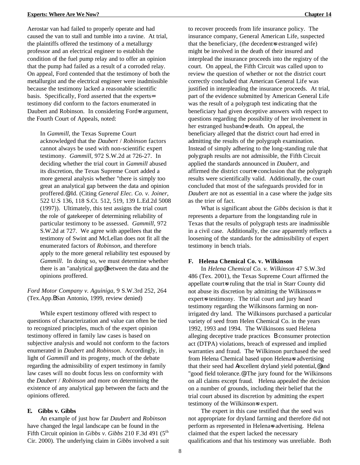the Fourth Court of Appeals, noted:

Aerostar van had failed to properly operate and had caused the van to stall and tumble into a ravine. At trial, the plaintiffs offered the testimony of a metallurgy professor and an electrical engineer to establish the condition of the fuel pump relay and to offer an opinion that the pump had failed as a result of a corroded relay. On appeal, Ford contended that the testimony of both the metallurgist and the electrical engineer were inadmissible because the testimony lacked a reasonable scientific basis. Specifically, Ford asserted that the experts= testimony did conform to the factors enumerated in Daubert and Robinson. In considering Ford=s argument,

In *Gammill*, the Texas Supreme Court acknowledged that the *Daubert* / *Robinson* factors cannot always be used with non-scientific expert testimony. *Gammill*, 972 S.W.2d at 726-27. In deciding whether the trial court in *Gammill* abused its discretion, the Texas Supreme Court added a more general analysis whether "there is simply too great an analytical gap between the data and opinion proffered.@ Id. (Citing *General Elec. Co. v. Joiner*, 522 U.S 136, 118 S.Ct. 512, 519, 139 L.Ed.2d 5008 (1997)). Ultimately, this test assigns the trial court the role of gatekeeper of determining reliability of particular testimony to be assessed. *Gammill*, 972 S.W.2d at 727. We agree with appellees that the testimony of Swint and McLellan does not fit all the enumerated factors of *Robinson*, and therefore apply to the more general reliability test espoused by *Gammill*. In doing so, we must determine whether there is an "analytical gap@ between the data and the opinions proffered.

*Ford Motor Company v. Aguiniga*, 9 S.W.3rd 252, 264 (Tex.App.BSan Antonio, 1999, review denied)

While expert testimony offered with respect to questions of characterization and value can often be tied to recognized principles, much of the expert opinion testimony offered in family law cases is based on subjective analysis and would not conform to the factors enumerated in *Daubert* and *Robinson*. Accordingly, in light of *Gammill* and its progeny, much of the debate regarding the admissibility of expert testimony in family law cases will no doubt focus less on conformity with the *Daubert* / *Robinson* and more on determining the existence of any analytical gap between the facts and the opinions offered.

### **E. Gibbs v. Gibbs**

An example of just how far *Daubert* and *Robinson* have changed the legal landscape can be found in the Fifth Circuit opinion in *Gibbs v. Gibbs* 210 F.3d 491 (5<sup>th</sup>) Cir. 2000). The underlying claim in *Gibbs* involved a suit

to recover proceeds from life insurance policy. The insurance company, General American Life, suspected that the beneficiary, (the decedent is estranged wife) might be involved in the death of their insured and interplead the insurance proceeds into the registry of the court. On appeal, the Fifth Circuit was called upon to review the question of whether or not the district court correctly concluded that American General Life was justified in interpleading the insurance proceeds. At trial, part of the evidence submitted by American General Life was the result of a polygraph test indicating that the beneficiary had given deceptive answers with respect to questions regarding the possibility of her involvement in her estranged husband=s death. On appeal, the beneficiary alleged that the district court had erred in admitting the results of the polygraph examination. Instead of simply adhering to the long-standing rule that polygraph results are not admissible, the Fifth Circuit applied the standards announced in *Daubert*, and affirmed the district court-s conclusion that the polygraph results were scientifically valid. Additionally, the court concluded that most of the safeguards provided for in *Daubert* are not as essential in a case where the judge sits as the trier of fact.

What is significant about the *Gibbs* decision is that it represents a departure from the longstanding rule in Texas that the results of polygraph tests are inadmissible in a civil case. Additionally, the case apparently reflects a loosening of the standards for the admissibility of expert testimony in bench trials.

### **F. Helena Chemical Co. v. Wilkinson**

In *Helena Chemical Co. v. Wilkinson* 47 S.W.3rd 486 (Tex. 2001), the Texas Supreme Court affirmed the appellate court-s ruling that the trial in Starr County did not abuse its discretion by admitting the Wilkinsons= expert-s testimony. The trial court and jury heard testimony regarding the Wilkinsons farming on nonirrigated dry land. The Wilkinsons purchased a particular variety of seed from Helen Chemical Co. in the years 1992, 1993 and 1994. The Wilkinsons sued Helena alleging deceptive trade practices B consumer protection act (DTPA) violations, breach of expressed and implied warranties and fraud. The Wilkinson purchased the seed from Helena Chemical based upon Helena=s advertising that their seed had *Aexcellent dryland yield potential*, @ and "good field tolerance.@ The jury found for the Wilkinsons on all claims except fraud. Helena appealed the decision on a number of grounds, including their belief that the trial court abused its discretion by admitting the expert testimony of the Wilkinson-s expert.

The expert in this case testified that the seed was not appropriate for dryland farming and therefore did not perform as represented in Helena=s advertising. Helena claimed that the expert lacked the necessary qualifications and that his testimony was unreliable. Both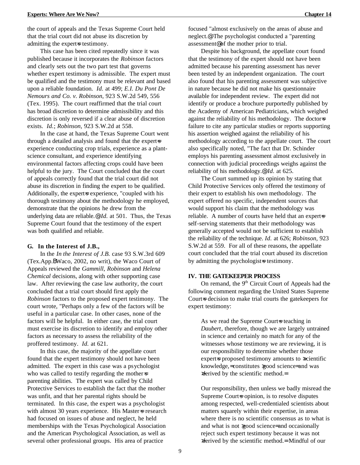the court of appeals and the Texas Supreme Court held that the trial court did not abuse its discretion by admitting the expert=s testimony.

This case has been cited repeatedly since it was published because it incorporates the *Robinson* factors and clearly sets out the two part test that governs whether expert testimony is admissible. The expert must be qualified and the testimony must be relevant and based upon a reliable foundation. *Id.* at 499; *E.I. Du Pont De Nemours and Co. v. Robinson*, 923 S.W.2d 549, 556 (Tex. 1995). The court reaffirmed that the trial court has broad discretion to determine admissibility and this discretion is only reversed if a clear abuse of discretion exists. *Id.*; *Robinson*, 923 S.W.2d at 558.

In the case at hand, the Texas Supreme Court went through a detailed analysis and found that the expert=s experience conducting crop trials, experience as a plantscience consultant, and experience identifying environmental factors affecting crops could have been helpful to the jury. The Court concluded that the court of appeals correctly found that the trial court did not abuse its discretion in finding the expert to be qualified. Additionally, the expert=s experience, "coupled with his thorough testimony about the methodology he employed, demonstrate that the opinions he drew from the underlying data are reliable.@ *Id.* at 501. Thus, the Texas Supreme Court found that the testimony of the expert was both qualified and reliable.

#### **G. In the Interest of J.B.,**

In the *In the Interest of J.B.* case 93 S.W.3rd 609 (Tex.App.BWaco, 2002, no writ), the Waco Court of Appeals reviewed the *Gammill*, *Robinson* and *Helena Chemical* decisions, along with other supporting case law. After reviewing the case law authority, the court concluded that a trial court should first apply the *Robinson* factors to the proposed expert testimony. The court wrote, "Perhaps only a few of the factors will be useful in a particular case. In other cases, none of the factors will be helpful. In either case, the trial court must exercise its discretion to identify and employ other factors as necessary to assess the reliability of the proffered testimony. *Id.* at 621.

In this case, the majority of the appellate court found that the expert testimony should not have been admitted. The expert in this case was a psychologist who was called to testify regarding the mother $\equiv$ parenting abilities. The expert was called by Child Protective Services to establish the fact that the mother was unfit, and that her parental rights should be terminated. In this case, the expert was a psychologist with almost 30 years experience. His Masters research had focused on issues of abuse and neglect, he held memberships with the Texas Psychological Association and the American Psychological Association, as well as several other professional groups. His area of practice

focused "almost exclusively on the areas of abuse and neglect.@ The psychologist conducted a "parenting assessment@ of the mother prior to trial.

Despite his background, the appellate court found that the testimony of the expert should not have been admitted because his parenting assessment has never been tested by an independent organization. The court also found that his parenting assessment was subjective in nature because he did not make his questionnaire available for independent review. The expert did not identify or produce a brochure purportedly published by the Academy of American Pediatricians, which weighed against the reliability of his methodology. The doctors failure to cite any particular studies or reports supporting his assertion weighed against the reliability of his methodology according to the appellate court. The court also specifically noted, "The fact that Dr. Schinder employs his parenting assessment almost exclusively in connection with judicial proceedings weighs against the reliability of his methodology.@ *Id.* at 625.

The Court summed up its opinion by stating that Child Protective Services only offered the testimony of their expert to establish his own methodology. The expert offered no specific, independent sources that would support his claim that the methodology was reliable. A number of courts have held that an expert=s self-serving statements that their methodology was generally accepted would not be sufficient to establish the reliability of the technique. *Id.* at 626; *Robinson,* 923 S.W.2d at 559. For all of these reasons, the appellate court concluded that the trial court abused its discretion by admitting the psychologist is testimony.

#### **IV. THE GATEKEEPER PROCESS**

On remand, the 9<sup>th</sup> Circuit Court of Appeals had the following comment regarding the United States Supreme Court-s decision to make trial courts the gatekeepers for expert testimony:

As we read the Supreme Court=s teaching in *Daubert*, therefore, though we are largely untrained in science and certainly no match for any of the witnesses whose testimony we are reviewing, it is our responsibility to determine whether those expert=s proposed testimony amounts to  $\infty$ cientific knowledge,= constitutes >good science= and was >derived by the scientific method.=

Our responsibility, then unless we badly misread the Supreme Court-s opinion, is to resolve disputes among respected, well-credentialed scientists about matters squarely within their expertise, in areas where there is no scientific consensus as to what is and what is not >good science= and occasionally reject such expert testimony because it was not >derived by the scientific method.= Mindful of our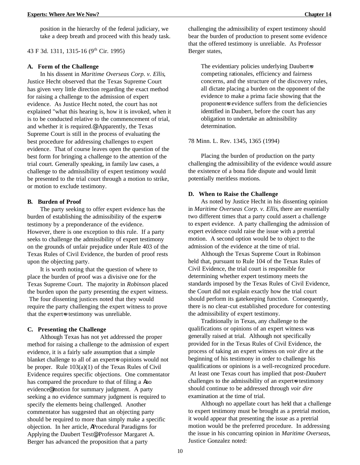position in the hierarchy of the federal judiciary, we take a deep breath and proceed with this heady task.

43 F 3d. 1311, 1315-16 (9th Cir. 1995)

#### **A. Form of the Challenge**

In his dissent in *Maritime Overseas Corp. v. Ellis*, Justice Hecht observed that the Texas Supreme Court has given very little direction regarding the exact method for raising a challenge to the admission of expert evidence. As Justice Hecht noted, the court has not explained "what this hearing is, how it is invoked, when it is to be conducted relative to the commencement of trial, and whether it is required.@ Apparently, the Texas Supreme Court is still in the process of evaluating the best procedure for addressing challenges to expert evidence. That of course leaves open the question of the best form for bringing a challenge to the attention of the trial court. Generally speaking, in family law cases, a challenge to the admissibility of expert testimony would be presented to the trial court through a motion to strike, or motion to exclude testimony.

### **B. Burden of Proof**

The party seeking to offer expert evidence has the burden of establishing the admissibility of the expert=s testimony by a preponderance of the evidence. However, there is one exception to this rule. If a party seeks to challenge the admissibility of expert testimony on the grounds of unfair prejudice under Rule 403 of the Texas Rules of Civil Evidence, the burden of proof rests upon the objecting party.

It is worth noting that the question of where to place the burden of proof was a divisive one for the Texas Supreme Court. The majority in *Robinson* placed the burden upon the party presenting the expert witness. The four dissenting justices noted that they would require the party challenging the expert witness to prove that the expert-s testimony was unreliable.

#### **C. Presenting the Challenge**

Although Texas has not yet addressed the proper method for raising a challenge to the admission of expert evidence, it is a fairly safe assumption that a simple blanket challenge to all of an expert=s opinions would not be proper. Rule 103(a)(1) of the Texas Rules of Civil Evidence requires specific objections. One commentator has compared the procedure to that of filing a Ano evidence@ motion for summary judgment. A party seeking a no evidence summary judgment is required to specify the elements being challenged. Another commentator has suggested that an objecting party should be required to more than simply make a specific objection. In her article, AProcedural Paradigms for Applying the Daubert Test@, Professor Margaret A. Berger has advanced the proposition that a party

challenging the admissibility of expert testimony should bear the burden of production to present some evidence that the offered testimony is unreliable. As Professor Berger states,

The evidentiary policies underlying Daubert-s competing rationales, efficiency and fairness concerns, and the structure of the discovery rules, all dictate placing a burden on the opponent of the evidence to make a prima facie showing that the proponent=s evidence suffers from the deficiencies identified in Daubert, before the court has any obligation to undertake an admissibility determination.

78 Minn. L. Rev. 1345, 1365 (1994)

Placing the burden of production on the party challenging the admissibility of the evidence would assure the existence of a bona fide dispute and would limit potentially meritless motions.

#### **D. When to Raise the Challenge**

As noted by Justice Hecht in his dissenting opinion in *Maritime Overseas Corp. v. Ellis*, there are essentially two different times that a party could assert a challenge to expert evidence. A party challenging the admission of expert evidence could raise the issue with a pretrial motion. A second option would be to object to the admission of the evidence at the time of trial.

Although the Texas Supreme Court in Robinson held that, pursuant to Rule 104 of the Texas Rules of Civil Evidence, the trial court is responsible for determining whether expert testimony meets the standards imposed by the Texas Rules of Civil Evidence, the Court did not explain exactly how the trial court should perform its gatekeeping function. Consequently, there is no clear-cut established procedure for contesting the admissibility of expert testimony.

Traditionally in Texas, any challenge to the qualifications or opinions of an expert witness was generally raised at trial. Although not specifically provided for in the Texas Rules of Civil Evidence, the process of taking an expert witness on *voir dire* at the beginning of his testimony in order to challenge his qualifications or opinions is a well-recognized procedure. At least one Texas court has implied that post-*Daubert* challenges to the admissibility of an expert=s testimony should continue to be addressed through *voir dire* examination at the time of trial.

Although no appellate court has held that a challenge to expert testimony must be brought as a pretrial motion, it would appear that presenting the issue as a pretrial motion would be the preferred procedure. In addressing the issue in his concurring opinion in *Maritime Overseas*, Justice Gonzalez noted: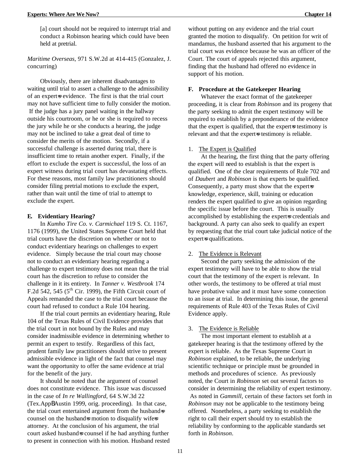[a] court should not be required to interrupt trial and conduct a Robinson hearing which could have been held at pretrial.

*Maritime Overseas*, 971 S.W.2d at 414-415 (Gonzalez, J. concurring)

Obviously, there are inherent disadvantages to waiting until trial to assert a challenge to the admissibility of an expert-s evidence. The first is that the trial court may not have sufficient time to fully consider the motion. If the judge has a jury panel waiting in the hallway outside his courtroom, or he or she is required to recess the jury while he or she conducts a hearing, the judge may not be inclined to take a great deal of time to consider the merits of the motion. Secondly, if a successful challenge is asserted during trial, there is insufficient time to retain another expert. Finally, if the effort to exclude the expert is successful, the loss of an expert witness during trial court has devastating effects. For these reasons, most family law practitioners should consider filing pretrial motions to exclude the expert, rather than wait until the time of trial to attempt to exclude the expert.

#### **E. Evidentiary Hearing?**

In *Kumho Tire Co. v. Carmichael* 119 S. Ct. 1167, 1176 (1999), the United States Supreme Court held that trial courts have the discretion on whether or not to conduct evidentiary hearings on challenges to expert evidence. Simply because the trial court may choose not to conduct an evidentiary hearing regarding a challenge to expert testimony does not mean that the trial court has the discretion to refuse to consider the challenge in it its entirety. In *Tanner v. Westbrook* 174 F.2d 542, 545 ( $5<sup>th</sup>$  Cir. 1999), the Fifth Circuit court of Appeals remanded the case to the trial court because the court had refused to conduct a Rule 104 hearing.

If the trial court permits an evidentiary hearing, Rule 104 of the Texas Rules of Civil Evidence provides that the trial court in not bound by the Rules and may consider inadmissible evidence in determining whether to permit an expert to testify. Regardless of this fact, prudent family law practitioners should strive to present admissible evidence in light of the fact that counsel may want the opportunity to offer the same evidence at trial for the benefit of the jury.

It should be noted that the argument of counsel does not constitute evidence. This issue was discussed in the case of *In re Wallingford*, 64 S.W.3d 22 (Tex.AppBAustin 1999, orig. proceeding). In that case, the trial court entertained argument from the husbands counsel on the husband=s motion to disqualify wife=s attorney. At the conclusion of his argument, the trial court asked husbands counsel if he had anything further to present in connection with his motion. Husband rested without putting on any evidence and the trial court granted the motion to disqualify. On petition for writ of mandamus, the husband asserted that his argument to the trial court was evidence because he was an officer of the Court. The court of appeals rejected this argument, finding that the husband had offered no evidence in support of his motion.

#### **F. Procedure at the Gatekeeper Hearing**

Whatever the exact format of the gatekeeper proceeding, it is clear from *Robinson* and its progeny that the party seeking to admit the expert testimony will be required to establish by a preponderance of the evidence that the expert is qualified, that the expert=s testimony is relevant and that the expert-s testimony is reliable.

#### 1. The Expert is Qualified

At the hearing, the first thing that the party offering the expert will need to establish is that the expert is qualified. One of the clear requirements of Rule 702 and of *Daubert* and *Robinson* is that experts be qualified. Consequently, a party must show that the expert $\equiv$ knowledge, experience, skill, training or education renders the expert qualified to give an opinion regarding the specific issue before the court. This is usually accomplished by establishing the expert=s credentials and background. A party can also seek to qualify an expert by requesting that the trial court take judicial notice of the expert=s qualifications.

#### 2. The Evidence is Relevant

Second the party seeking the admission of the expert testimony will have to be able to show the trial court that the testimony of the expert is relevant. In other words, the testimony to be offered at trial must have probative value and it must have some connection to an issue at trial. In determining this issue, the general requirements of Rule 403 of the Texas Rules of Civil Evidence apply.

#### 3. The Evidence is Reliable

The most important element to establish at a gatekeeper hearing is that the testimony offered by the expert is reliable. As the Texas Supreme Court in *Robinson* explained, to be reliable, the underlying scientific technique or principle must be grounded in methods and procedures of science. As previously noted, the Court in *Robinson* set out several factors to consider in determining the reliability of expert testimony. As noted in *Gammill*, certain of these factors set forth in *Robinson* may not be applicable to the testimony being offered. Nonetheless, a party seeking to establish the right to call their expert should try to establish the reliability by conforming to the applicable standards set forth in *Robinson*.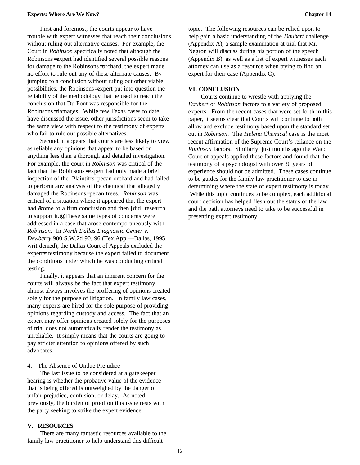First and foremost, the courts appear to have trouble with expert witnesses that reach their conclusions without ruling out alternative causes. For example, the Court in *Robinson* specifically noted that although the Robinsons= expert had identified several possible reasons for damage to the Robinsons= orchard, the expert made no effort to rule out any of these alternate causes. By jumping to a conclusion without ruling out other viable possibilities, the Robinsons= expert put into question the reliability of the methodology that he used to reach the conclusion that Du Pont was responsible for the Robinsons= damages. While few Texas cases to date have discussed the issue, other jurisdictions seem to take the same view with respect to the testimony of experts who fail to rule out possible alternatives.

Second, it appears that courts are less likely to view as reliable any opinions that appear to be based on anything less than a thorough and detailed investigation. For example, the court in *Robinson* was critical of the fact that the Robinsons= expert had only made a brief inspection of the Plaintiffs= pecan orchard and had failed to perform any analysis of the chemical that allegedly damaged the Robinsons= pecan trees. *Robinson* was critical of a situation where it appeared that the expert had Acome to a firm conclusion and then [did] research to support it.@ These same types of concerns were addressed in a case that arose contemporaneously with *Robinson*. In *North Dallas Diagnostic Center v. Dewberry* 900 S.W.2d 90, 96 (Tex.App.—Dallas, 1995, writ denied), the Dallas Court of Appeals excluded the expert-s testimony because the expert failed to document the conditions under which he was conducting critical testing.

Finally, it appears that an inherent concern for the courts will always be the fact that expert testimony almost always involves the proffering of opinions created solely for the purpose of litigation. In family law cases, many experts are hired for the sole purpose of providing opinions regarding custody and access. The fact that an expert may offer opinions created solely for the purposes of trial does not automatically render the testimony as unreliable. It simply means that the courts are going to pay stricter attention to opinions offered by such advocates.

#### 4. The Absence of Undue Prejudice

The last issue to be considered at a gatekeeper hearing is whether the probative value of the evidence that is being offered is outweighed by the danger of unfair prejudice, confusion, or delay. As noted previously, the burden of proof on this issue rests with the party seeking to strike the expert evidence.

## **V. RESOURCES**

There are many fantastic resources available to the family law practitioner to help understand this difficult

topic. The following resources can be relied upon to help gain a basic understanding of the *Daubert* challenge (Appendix A), a sample examination at trial that Mr. Negron will discuss during his portion of the speech (Appendix B), as well as a list of expert witnesses each attorney can use as a resource when trying to find an expert for their case (Appendix C).

#### **VI. CONCLUSION**

Courts continue to wrestle with applying the *Daubert* or *Robinson* factors to a variety of proposed experts. From the recent cases that were set forth in this paper, it seems clear that Courts will continue to both allow and exclude testimony based upon the standard set out in *Robinson*. The *Helena Chemical* case is the most recent affirmation of the Supreme Court's reliance on the *Robinson* factors. Similarly, just months ago the Waco Court of appeals applied these factors and found that the testimony of a psychologist with over 30 years of experience should not be admitted. These cases continue to be guides for the family law practitioner to use in determining where the state of expert testimony is today. While this topic continues to be complex, each additional court decision has helped flesh out the status of the law and the path attorneys need to take to be successful in presenting expert testimony.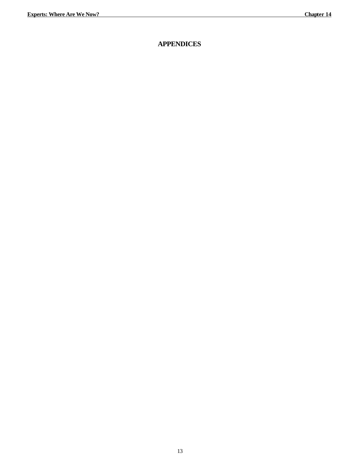## **APPENDICES**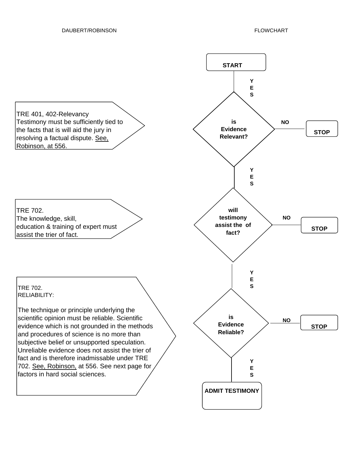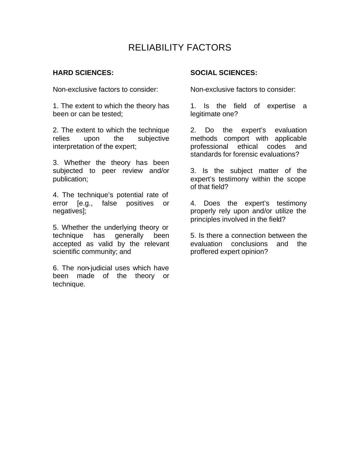# RELIABILITY FACTORS

## **HARD SCIENCES:**

Non-exclusive factors to consider:

1. The extent to which the theory has been or can be tested;

2. The extent to which the technique relies upon the subjective interpretation of the expert;

3. Whether the theory has been subjected to peer review and/or publication;

4. The technique's potential rate of error [e.g., false positives or negatives];

5. Whether the underlying theory or technique has generally been accepted as valid by the relevant scientific community; and

6. The non-judicial uses which have been made of the theory or technique.

## **SOCIAL SCIENCES:**

Non-exclusive factors to consider:

1. Is the field of expertise a legitimate one?

2. Do the expert's evaluation methods comport with applicable professional ethical codes and standards for forensic evaluations?

3. Is the subject matter of the expert's testimony within the scope of that field?

4. Does the expert's testimony properly rely upon and/or utilize the principles involved in the field?

5. Is there a connection between the evaluation conclusions and the proffered expert opinion?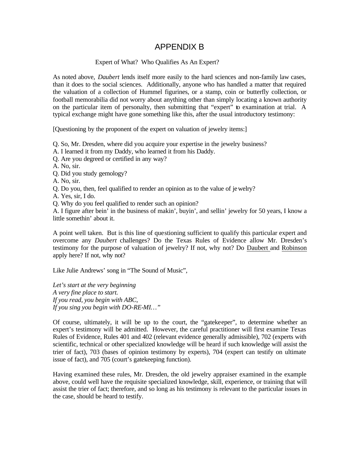## APPENDIX B

## Expert of What? Who Qualifies As An Expert?

As noted above, *Daubert* lends itself more easily to the hard sciences and non-family law cases, than it does to the social sciences. Additionally, anyone who has handled a matter that required the valuation of a collection of Hummel figurines, or a stamp, coin or butterfly collection, or football memorabilia did not worry about anything other than simply locating a known authority on the particular item of personalty, then submitting that "expert" to examination at trial. A typical exchange might have gone something like this, after the usual introductory testimony:

[Questioning by the proponent of the expert on valuation of jewelry items:]

Q. So, Mr. Dresden, where did you acquire your expertise in the jewelry business?

A. I learned it from my Daddy, who learned it from his Daddy.

Q. Are you degreed or certified in any way?

A. No, sir.

Q. Did you study gemology?

A. No, sir.

Q. Do you, then, feel qualified to render an opinion as to the value of jewelry?

A. Yes, sir, I do.

Q. Why do you feel qualified to render such an opinion?

A. I figure after bein' in the business of makin', buyin', and sellin' jewelry for 50 years, I know a little somethin' about it.

A point well taken. But is this line of questioning sufficient to qualify this particular expert and overcome any *Daubert* challenges? Do the Texas Rules of Evidence allow Mr. Dresden's testimony for the purpose of valuation of jewelry? If not, why not? Do Daubert and Robinson apply here? If not, why not?

Like Julie Andrews' song in "The Sound of Music",

*Let's start at the very beginning A very fine place to start. If you read, you begin with ABC, If you sing you begin with DO-RE-MI…"*

Of course, ultimately, it will be up to the court, the "gatekeeper", to determine whether an expert's testimony will be admitted. However, the careful practitioner will first examine Texas Rules of Evidence, Rules 401 and 402 (relevant evidence generally admissible), 702 (experts with scientific, technical or other specialized knowledge will be heard if such knowledge will assist the trier of fact), 703 (bases of opinion testimony by experts), 704 (expert can testify on ultimate issue of fact), and 705 (court's gatekeeping function).

Having examined these rules, Mr. Dresden, the old jewelry appraiser examined in the example above, could well have the requisite specialized knowledge, skill, experience, or training that will assist the trier of fact; therefore, and so long as his testimony is relevant to the particular issues in the case, should be heard to testify.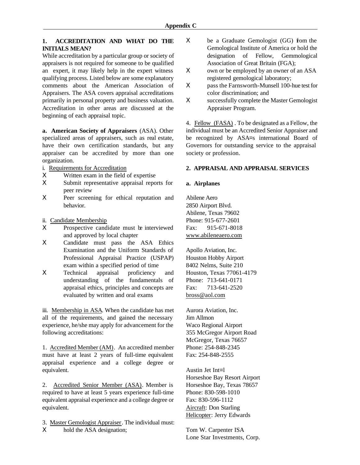## **1. ACCREDITATION AND WHAT DO THE INITIALS MEAN?**

While accreditation by a particular group or society of appraisers is not required for someone to be qualified an expert, it may likely help in the expert witness qualifying process. Listed below are some explanatory comments about the American Association of Appraisers. The ASA covers appraisal accreditations primarily in personal property and business valuation. Accreditation in other areas are discussed at the beginning of each appraisal topic.

**a. American Society of Appraisers** (ASA). Other specialized areas of appraisers, such as real estate, have their own certification standards, but any appraiser can be accredited by more than one organization.

- i. Requirements for Accreditation
- Χ Written exam in the field of expertise
- Χ Submit representative appraisal reports for peer review
- Χ Peer screening for ethical reputation and behavior.
- ii. Candidate Membership
- X Prospective candidate must be interviewed and approved by local chapter
- Χ Candidate must pass the ASA Ethics Examination and the Uniform Standards of Professional Appraisal Practice (USPAP) exam within a specified period of time
- Χ Technical appraisal proficiency and understanding of the fundamentals of appraisal ethics, principles and concepts are evaluated by written and oral exams

iii. Membership in ASA. When the candidate has met all of the requirements, and gained the necessary experience, he/she may apply for advancement for the following accreditations:

1. Accredited Member (AM). An accredited member must have at least 2 years of full-time equivalent appraisal experience and a college degree or equivalent.

2. Accredited Senior Member (ASA). Member is required to have at least 5 years experience full-time equivalent appraisal experience and a college degree or equivalent.

3. Master Gemologist Appraiser. The individual must: Χ hold the ASA designation;

- Χ be a Graduate Gemologist (GG) from the Gemological Institute of America or hold the designation of Fellow, Gemmological Association of Great Britain (FGA);
- Χ own or be employed by an owner of an ASA registered gemological laboratory;
- Χ pass the Farnsworth-Munsell 100-hue test for color discrimination; and
- Χ successfully complete the Master Gemologist Appraiser Program.

4. Fellow (FASA) . To be designated as a Fellow, the individual must be an Accredited Senior Appraiser and be recognized by ASA=s international Board of Governors for outstanding service to the appraisal society or profession.

## **2. APPRAISAL AND APPRAISAL SERVICES**

## **a. Airplanes**

Abilene Aero 2850 Airport Blvd. Abilene, Texas 79602 Phone: 915-677-2601 Fax: 915-671-8018 www.abileneaero.com

Apollo Aviation, Inc. Houston Hobby Airport 8402 Nelms, Suite 210 Houston, Texas 77061-4179 Phone: 713-641-0171 Fax: 713-641-2520 bross@aol.com

Aurora Aviation, Inc. Jim Allmon Waco Regional Airport 355 McGregor Airport Road McGregor, Texas 76657 Phone: 254-848-2345 Fax: 254-848-2555

Austin Jet Int=l Horseshoe Bay Resort Airport Horseshoe Bay, Texas 78657 Phone: 830-598-1010 Fax: 830-596-1112 Aircraft: Don Starling Helicopter: Jerry Edwards

Tom W. Carpenter ISA Lone Star Investments, Corp.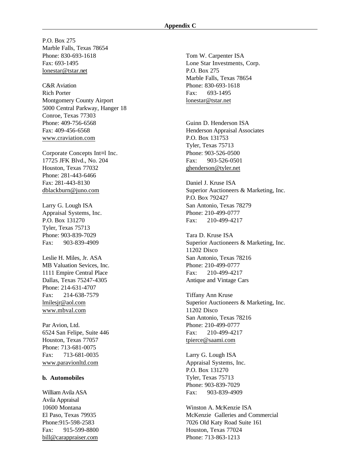P.O. Box 275 Marble Falls, Texas 78654 Phone: 830-693-1618 Fax: 693-1495 lonestar@tstar.net

C&R Aviation Rich Porter Montgomery County Airport 5000 Central Parkway, Hanger 18 Conroe, Texas 77303 Phone: 409-756-6568 Fax: 409-456-6568 www.craviation.com

Corporate Concepts Int=l Inc. 17725 JFK Blvd., No. 204 Houston, Texas 77032 Phone: 281-443-6466 Fax: 281-443-8130 dblackburn@juno.com

Larry G. Lough ISA Appraisal Systems, Inc. P.O. Box 131270 Tyler, Texas 75713 Phone: 903-839-7029 Fax: 903-839-4909

Leslie H. Miles, Jr. ASA MB Valuation Sevices, Inc. 1111 Empire Central Place Dallas, Texas 75247-4305 Phone: 214-631-4707 Fax: 214-638-7579 lmilesjr@aol.com www.mbval.com

Par Avion, Ltd. 6524 San Felipe, Suite 446 Houston, Texas 77057 Phone: 713-681-0075 Fax: 713-681-0035 www.paravionltd.com

### **b. Automobiles**

William Avila ASA Avila Appraisal 10600 Montana El Paso, Texas 79935 Phone:915-598-2583 Fax: 915-599-8800 bill@carappraiser.com

Tom W. Carpenter ISA Lone Star Investments, Corp. P.O. Box 275 Marble Falls, Texas 78654 Phone: 830-693-1618 Fax: 693-1495 lonestar@tstar.net

Guinn D. Henderson ISA Henderson Appraisal Associates P.O. Box 131753 Tyler, Texas 75713 Phone: 903-526-0500 Fax: 903-526-0501 ghenderson@tyler.net

Daniel J. Kruse ISA Superior Auctioneers & Marketing, Inc. P.O. Box 792427 San Antonio, Texas 78279 Phone: 210-499-0777 Fax: 210-499-4217

Tara D. Kruse ISA Superior Auctioneers & Marketing, Inc. 11202 Disco San Antonio, Texas 78216 Phone: 210-499-0777 Fax: 210-499-4217 Antique and Vintage Cars

Tiffany Ann Kruse Superior Auctioneers & Marketing, Inc. 11202 Disco San Antonio, Texas 78216 Phone: 210-499-0777 Fax: 210-499-4217 tpierce@saami.com

Larry G. Lough ISA Appraisal Systems, Inc. P.O. Box 131270 Tyler, Texas 75713 Phone: 903-839-7029 Fax: 903-839-4909

Winston A. McKenzie ISA McKenzie Galleries and Commercial 7026 Old Katy Road Suite 161 Houston, Texas 77024 Phone: 713-863-1213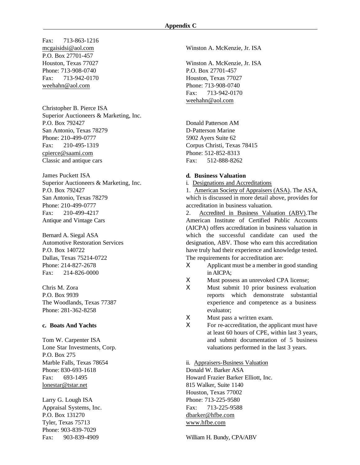Fax: 713-863-1216 P.O. Box 27701-457 Houston, Texas 77027 Phone: 713-908-0740 Fax: 713-942-0170 weehahn@aol.com

Christopher B. Pierce ISA Superior Auctioneers & Marketing, Inc. P.O. Box 792427 San Antonio, Texas 78279 Phone: 210-499-0777 Fax: 210-495-1319 cpierce@saami.com Classic and antique cars

James Puckett ISA Superior Auctioneers & Marketing, Inc. P.O. Box 792427 San Antonio, Texas 78279 Phone: 210-499-0777 Fax: 210-499-4217 Antique and Vintage Cars

Bernard A. Siegal ASA Automotive Restoration Services P.O. Box 140722 Dallas, Texas 75214-0722 Phone: 214-827-2678 Fax: 214-826-0000

Chris M. Zora P.O. Box 9939 The Woodlands, Texas 77387 Phone: 281-362-8258

### **c. Boats And Yachts**

Tom W. Carpenter ISA Lone Star Investments, Corp. P.O. Box 275 Marble Falls, Texas 78654 Phone: 830-693-1618 Fax: 693-1495 lonestar@tstar.net

Larry G. Lough ISA Appraisal Systems, Inc. P.O. Box 131270 Tyler, Texas 75713 Phone: 903-839-7029 Fax: 903-839-4909

mcgaisidsi@aol.com Winston A. McKenzie, Jr. ISA

Winston A. McKenzie, Jr. ISA P.O. Box 27701-457 Houston, Texas 77027 Phone: 713-908-0740 Fax: 713-942-0170 weehahn@aol.com

Donald Patterson AM D-Patterson Marine 5902 Ayers Suite 62 Corpus Christi, Texas 78415 Phone: 512-852-8313 Fax: 512-888-8262

#### **d. Business Valuation**

i. Designations and Accreditations

1. American Society of Appraisers (ASA). The ASA, which is discussed in more detail above, provides for accreditation in business valuation.

2. Accredited in Business Valuation (ABV).The American Institute of Certified Public Accounts (AICPA) offers accreditation in business valuation in which the successful candidate can used the designation, ABV. Those who earn this accreditation have truly had their experience and knowledge tested. The requirements for accreditation are:

- Χ Applicant must be a member in good standing in AICPA;
- Χ Must possess an unrevoked CPA license;
- Χ Must submit 10 prior business evaluation reports which demonstrate substantial experience and competence as a business evaluator;
- Χ Must pass a written exam.
- Χ For re-accreditation, the applicant must have at least 60 hours of CPE, within last 3 years, and submit documentation of 5 business valuations performed in the last 3 years.

ii. Appraisers-Business Valuation

Donald W. Barker ASA Howard Frazier Barker Elliott, Inc. 815 Walker, Suite 1140 Houston, Texas 77002 Phone: 713-225-9580 Fax: 713-225-9588 dbarker@hfbe.com www.hfbe.com

William H. Bundy, CPA/ABV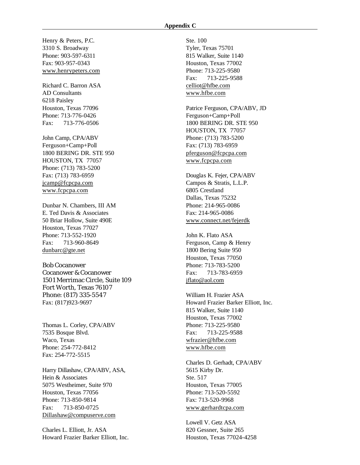#### **Appendix C**

Henry & Peters, P.C. 3310 S. Broadway Phone: 903-597-6311 Fax: 903-957-0343 www.henrypeters.com

Richard C. Barron ASA AD Consultants 6218 Paisley Houston, Texas 77096 Phone: 713-776-0426 Fax: 713-776-0506

John Camp, CPA/ABV Ferguson+Camp+Poll 1800 BERING DR. STE 950 HOUSTON, TX 77057 Phone: (713) 783-5200 Fax: (713) 783-6959 jcamp@fcpcpa.com www.fcpcpa.com

Dunbar N. Chambers, III AM E. Ted Davis & Associates 50 Briar Hollow, Suite 490E Houston, Texas 77027 Phone: 713-552-1920 Fax: 713-960-8649 dunbarc@gte.net

Bob Cocanower Cocanower & Cocanower 1501 Merrimac Circle, Suite 109 Fort Worth, Texas 76107 Phone: (817) 335-5547 Fax: (817)923-9697

Thomas L. Corley, CPA/ABV 7535 Bosque Blvd. Waco, Texas Phone: 254-772-8412 Fax: 254-772-5515

Harry Dillashaw, CPA/ABV, ASA, Hein & Associates 5075 Westheimer, Suite 970 Houston, Texas 77056 Phone: 713-850-9814 Fax: 713-850-0725 Dillashaw@compuserve.com

Charles L. Elliott, Jr. ASA Howard Frazier Barker Elliott, Inc. Ste. 100 Tyler, Texas 75701 815 Walker, Suite 1140 Houston, Texas 77002 Phone: 713-225-9580 Fax: 713-225-9588 celliot@hfbe.com www.hfbe.com

Patrice Ferguson, CPA/ABV, JD Ferguson+Camp+Poll 1800 BERING DR. STE 950 HOUSTON, TX 77057 Phone: (713) 783-5200 Fax: (713) 783-6959 pferguson@fcpcpa.com www.fcpcpa.com

Douglas K. Fejer, CPA/ABV Campos & Stratis, L.L.P. 6805 Crestland Dallas, Texas 75232 Phone: 214-965-0086 Fax: 214-965-0086 www.connect.net/fejerdk

John K. Flato ASA Ferguson, Camp & Henry 1800 Bering Suite 950 Houston, Texas 77050 Phone: 713-783-5200 Fax: 713-783-6959 jflato@aol.com

William H. Frazier ASA Howard Frazier Barker Elliott, Inc. 815 Walker, Suite 1140 Houston, Texas 77002 Phone: 713-225-9580 Fax: 713-225-9588 wfrazier@hfbe.com www.hfbe.com

Charles D. Gerhadt, CPA/ABV 5615 Kirby Dr. Ste. 517 Houston, Texas 77005 Phone: 713-520-5592 Fax: 713-520-9968 www.gerhardtcpa.com

Lowell V. Getz ASA 820 Gessner, Suite 265 Houston, Texas 77024-4258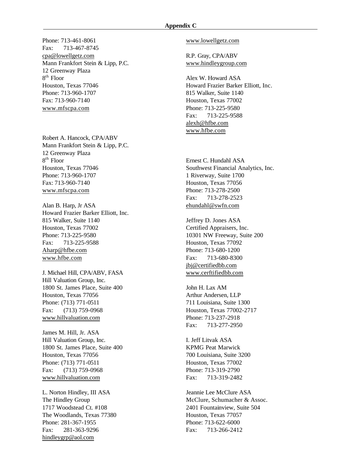#### **Appendix C**

Phone: 713-461-8061 Fax: 713-467-8745 cpa@lowellgetz.com Mann Frankfort Stein & Lipp, P.C. 12 Greenway Plaza 8 th Floor Houston, Texas 77046 Phone: 713-960-1707 Fax: 713-960-7140 www.mfscpa.com

Robert A. Hancock, CPA/ABV Mann Frankfort Stein & Lipp, P.C. 12 Greenway Plaza 8 th Floor Houston, Texas 77046 Phone: 713-960-1707 Fax: 713-960-7140 www.mfscpa.com

Alan B. Harp, Jr ASA Howard Frazier Barker Elliott, Inc. 815 Walker, Suite 1140 Houston, Texas 77002 Phone: 713-225-9580 Fax: 713-225-9588 Aharp@hfbe.com www.hfbe.com

J. Michael Hill, CPA/ABV, FASA Hill Valuation Group, Inc. 1800 St. James Place, Suite 400 Houston, Texas 77056 Phone: (713) 771-0511 Fax: (713) 759-0968 www.hillvaluation.com

James M. Hill, Jr. ASA Hill Valuation Group, Inc. 1800 St. James Place, Suite 400 Houston, Texas 77056 Phone: (713) 771-0511 Fax: (713) 759-0968 www.hillvaluation.com

L. Norton Hindley, III ASA The Hindley Group 1717 Woodstead Ct. #108 The Woodlands, Texas 77380 Phone: 281-367-1955 Fax: 281-363-9296 hindleygrp@aol.com

www.lowellgetz.com

R.P. Gray, CPA/ABV www.hindleygroup.com

Alex W. Howard ASA Howard Frazier Barker Elliott, Inc. 815 Walker, Suite 1140 Houston, Texas 77002 Phone: 713-225-9580 Fax: 713-225-9588 alexh@hfbe.com www.hfbe.com

Ernest C. Hundahl ASA Southwest Financial Analytics, Inc. 1 Riverway, Suite 1700 Houston, Texas 77056 Phone: 713-278-2500 Fax: 713-278-2523 ehundahl@swfn.com

Jeffrey D. Jones ASA Certified Appraisers, Inc. 10301 NW Freeway, Suite 200 Houston, Texas 77092 Phone: 713-680-1200 Fax: 713-680-8300 jbj@certifiedbb.com www.cerftifiedbb.com

John H. Lax AM Arthur Andersen, LLP 711 Louisiana, Suite 1300 Houston, Texas 77002-2717 Phone: 713-237-2918 Fax: 713-277-2950

I. Jeff Litvak ASA KPMG Peat Marwick 700 Louisiana, Suite 3200 Houston, Texas 77002 Phone: 713-319-2790 Fax: 713-319-2482

Jeannie Lee McClure ASA McClure, Schumacher & Assoc. 2401 Fountainview, Suite 504 Houston, Texas 77057 Phone: 713-622-6000 Fax: 713-266-2412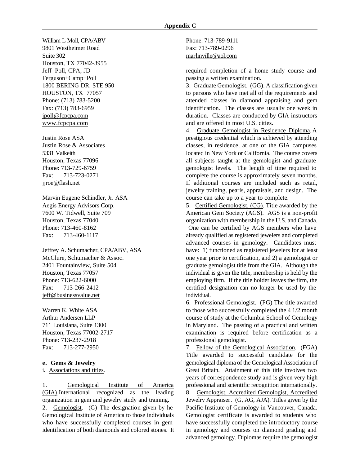William L Moll, CPA/ABV 9801 Westheimer Road Suite 302 Houston, TX 77042-3955 Jeff Poll, CPA, JD Ferguson+Camp+Poll 1800 BERING DR. STE 950 HOUSTON, TX 77057 Phone: (713) 783-5200 Fax: (713) 783-6959 jpoll@fcpcpa.com www.fcpcpa.com

Justin Rose ASA Justin Rose & Associates 5331 Valkeith Houston, Texas 77096 Phone: 713-729-6759 Fax: 713-723-0271 jjroe@flash.net

Marvin Eugene Schindler, Jr. ASA Aegis Energy Advisors Corp. 7600 W. Tidwell, Suite 709 Houston, Texas 77040 Phone: 713-460-8162 Fax: 713-460-1117

Jeffrey A. Schumacher, CPA/ABV, ASA McClure, Schumacher & Assoc. 2401 Fountainview, Suite 504 Houston, Texas 77057 Phone: 713-622-6000 Fax: 713-266-2412 jeff@businessvalue.net

Warren K. White ASA Arthur Andersen LLP 711 Louisiana, Suite 1300 Houston, Texas 77002-2717 Phone: 713-237-2918 Fax: 713-277-2950

#### **e. Gems & Jewelry**

i. Associations and titles.

1. Gemological Institute of America (GIA).International recognized as the leading organization in gem and jewelry study and training. 2. Gemologist. (G) The designation given by he Gemological Institute of America to those individuals who have successfully completed courses in gem identification of both diamonds and colored stones. It Phone: 713-789-9111 Fax: 713-789-0296 marlinville@aol.com

required completion of a home study course and passing a written examination.

3. Graduate Gemologist. (GG). A classification given to persons who have met all of the requirements and attended classes in diamond appraising and gem identification. The classes are usually one week in duration. Classes are conducted by GIA instructors and are offered in most U.S. cities.

4. Graduate Gemologist in Residence Diploma. A prestigious credential which is achieved by attending classes, in residence, at one of the GIA campuses located in New York or California. The course covers all subjects taught at the gemologist and graduate gemologist levels. The length of time required to complete the course is approximately seven months. If additional courses are included such as retail, jewelry training, pearls, appraisals, and design. The course can take up to a year to complete.

5. Certified Gemologist. (CG). Title awarded by the American Gem Society (AGS). AGS is a non-profit organization with membership in the U.S. and Canada. One can be certified by AGS members who have already qualified as registered jewelers and completed advanced courses in gemology. Candidates must have: 1) functioned as registered jewelers for at least one year prior to certification, and 2) a gemologist or graduate gemologist title from the GIA. Although the individual is given the title, membership is held by the employing firm. If the title holder leaves the firm, the certified designation can no longer be used by the individual.

6. Professional Gemologist. (PG) The title awarded to those who successfully completed the 4 1/2 month course of study at the Columbia School of Gemology in Maryland. The passing of a practical and written examination is required before certification as a professional gemologist.

7. Fellow of the Gemological Association. (FGA) Title awarded to successful candidate for the gemological diploma of the Gemological Association of Great Britain. Attainment of this title involves two years of correspondence study and is given very high professional and scientific recognition internationally.

8. Gemologist, Accredited Gemologist, Accredited Jewelry Appraiser. (G, AG, AJA). Titles given by the Pacific Institute of Gemology in Vancouver, Canada. Gemologist certificate is awarded to students who have successfully completed the introductory course in gemology and courses on diamond grading and advanced gemology. Diplomas require the gemologist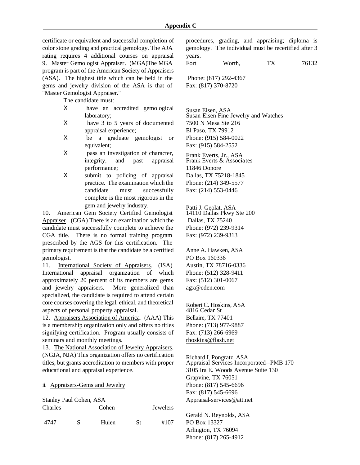certificate or equivalent and successful completion of color stone grading and practical gemology. The AJA rating requires 4 additional courses on appraisal 9. Master Gemologist Appraiser. (MGA)The MGA program is part of the American Society of Appraisers (ASA). The highest title which can be held in the gems and jewelry division of the ASA is that of "Master Gemologist Appraiser."

The candidate must:

- Χ have an accredited gemological laboratory;
- Χ have 3 to 5 years of documented appraisal experience;
- Χ be a graduate gemologist or equivalent;
- Χ pass an investigation of character, integrity, and past appraisal performance;
- X submit to policing of appraisal practice. The examination which the candidate must successfully complete is the most rigorous in the gem and jewelry industry.

10. American Gem Society Certified Gemologist Appraiser. (CGA) There is an examination which the candidate must successfully complete to achieve the CGA title. There is no formal training program prescribed by the AGS for this certification. The primary requirement is that the candidate be a certified gemologist.

11. International Society of Appraisers. (ISA) International appraisal organization of which approximately 20 percent of its members are gems and jewelry appraisers. More generalized than specialized, the candidate is required to attend certain core courses covering the legal, ethical, and theoretical aspects of personal property appraisal.

12. Appraisers Association of America. (AAA) This is a membership organization only and offers no titles signifying certification. Program usually consists of seminars and monthly meetings.

13. The National Association of Jewelry Appraisers. (NGJA, NJA) This organization offers no certification titles, but grants accreditation to members with proper educational and appraisal experience.

### ii. Appraisers-Gems and Jewelry

Stanley Paul Cohen, ASA

| Charles |   | Cohen |    |      |
|---------|---|-------|----|------|
| 4747    | S | Hulen | St | #107 |

procedures, grading, and appraising; diploma is gemology. The individual must be recertified after 3 years.

Fort Worth, TX 76132

 Phone: (817) 292-4367 Fax: (817) 370-8720

Susan Eisen, ASA Susan Eisen Fine Jewelry and Watches 7500 N Mesa Ste 216 El Paso, TX 79912 Phone: (915) 584-0022 Fax: (915) 584-2552

Frank Everts, Jr., ASA Frank Everts & Associates 11846 Donore Dallas, TX 75218-1845 Phone: (214) 349-5577 Fax: (214) 553-0446

Patti J. Geolat, ASA 14110 Dallas Pkwy Ste 200 Dallas, TX 75240 Phone: (972) 239-9314 Fax: (972) 239-9313

Anne A. Hawken, ASA PO Box 160336 Austin, TX 78716-0336 Phone: (512) 328-9411 Fax: (512) 301-0067 agx@eden.com

Robert C. Hoskins, ASA 4816 Cedar St Bellaire, TX 77401 Phone: (713) 977-9887 Fax: (713) 266-6969 rhoskins@flash.net

Richard I. Pongratz, ASA Appraisal Services Incorporated--PMB 170 3105 Ira E. Woods Avenue Suite 130 Grapvine, TX 76051 Phone: (817) 545-6696 Fax: (817) 545-6696 Appraisal-services@att.net

Gerald N. Reynolds, ASA PO Box 13327 Arlington, TX 76094 Phone: (817) 265-4912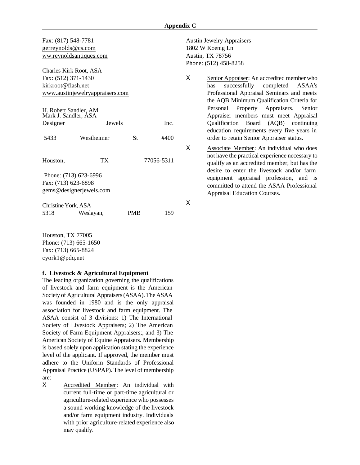Fax: (817) 548-7781 gerreynolds@cs.com ww.reynoldsantiques.com

Charles Kirk Root, ASA Fax: (512) 371-1430 kirkroot@flash.net www.austinjewelryappraisers.com

| H. Robert Sandler, AM<br>Mark J. Sandler, ASA  |           |               |            |  |  |  |
|------------------------------------------------|-----------|---------------|------------|--|--|--|
| Designer                                       |           | <b>Jewels</b> | Inc.       |  |  |  |
| Westheimer<br>5433                             |           | St            | #400       |  |  |  |
| Houston,                                       | ТX        |               | 77056-5311 |  |  |  |
| Phone: (713) 623-6996                          |           |               |            |  |  |  |
| Fax: (713) 623-6898<br>gems@designerjewels.com |           |               |            |  |  |  |
| Christine York, ASA                            |           |               |            |  |  |  |
| 5318                                           | Weslayan, | PMB           | 159        |  |  |  |

Houston, TX 77005 Phone: (713) 665-1650 Fax: (713) 665-8824 cyork1@pdq.net

#### **f. Livestock & Agricultural Equipment**

The leading organization governing the qualifications of livestock and farm equipment is the American Society of Agricultural Appraisers (ASAA). The ASAA was founded in 1980 and is the only appraisal association for livestock and farm equipment. The ASAA consist of 3 divisions: 1) The International Society of Livestock Appraisers; 2) The American Society of Farm Equipment Appraisers;, and 3) The American Society of Equine Appraisers. Membership is based solely upon application stating the experience level of the applicant. If approved, the member must adhere to the Uniform Standards of Professional Appraisal Practice (USPAP). The level of membership are:

Χ Accredited Member: An individual with current full-time or part-time agricultural or agriculture-related experience who possesses a sound working knowledge of the livestock and/or farm equipment industry. Individuals with prior agriculture-related experience also may qualify.

Austin Jewelry Appraisers 1802 W Koenig Ln Austin, TX 78756 Phone: (512) 458-8258

Χ Senior Appraiser: An accredited member who has successfully completed ASAA's Professional Appraisal Seminars and meets the AQB Minimum Qualification Criteria for Personal Property Appraisers. Senior Appraiser members must meet Appraisal Qualification Board (AQB) continuing education requirements every five years in order to retain Senior Appraiser status.

Χ Associate Member: An individual who does not have the practical experience necessary to qualify as an accredited member, but has the desire to enter the livestock and/or farm equipment appraisal profession, and is committed to attend the ASAA Professional Appraisal Education Courses.

Χ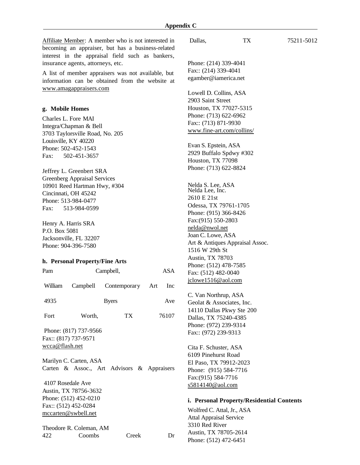Affiliate Member: A member who is not interested in becoming an appraiser, but has a business-related interest in the appraisal field such as bankers, insurance agents, attorneys, etc.

A list of member appraisers was not available, but information can be obtained from the website at www.amagappraisers.com

### **g. Mobile Homes**

Charles L. Fore MAI Integra/Chapman & Bell 3703 Taylorsville Road, No. 205 Louisville, KY 40220 Phone: 502-452-1543 Fax: 502-451-3657

Jeffrey L. Greenbert SRA Greenberg Appraisal Services 10901 Reed Hartman Hwy, #304 Cincinnati, OH 45242 Phone: 513-984-0477 Fax: 513-984-0599

Henry A. Harris SRA P.O. Box 5081 Jacksonville, FL 32207 Phone: 904-396-7580

#### **h. Personal Property/Fine Arts**

| Pam                                                                                                                                                                                                            | Campbell,                                   | ASA                       |       |  |  |  |
|----------------------------------------------------------------------------------------------------------------------------------------------------------------------------------------------------------------|---------------------------------------------|---------------------------|-------|--|--|--|
| William                                                                                                                                                                                                        |                                             | Campbell Contemporary Art | Inc   |  |  |  |
| 4935                                                                                                                                                                                                           |                                             | Ave                       |       |  |  |  |
| Fort                                                                                                                                                                                                           | Worth,                                      | TX                        | 76107 |  |  |  |
| Phone: (817) 737-9566<br>Fax:: (817) 737-9571<br>wcca@flash.net<br>Marilyn C. Carten, ASA<br>Carten & Assoc., Art Advisors & Appraisers<br>4107 Rosedale Ave<br>Austin, TX 78756-3632<br>Phone: (512) 452-0210 |                                             |                           |       |  |  |  |
|                                                                                                                                                                                                                | Fax:: (512) 452-0284<br>mccarten@swbell.net |                           |       |  |  |  |
| Theodore R. Coleman, AM                                                                                                                                                                                        |                                             |                           |       |  |  |  |

422 Coombs Creek Dr

Phone: (214) 339-4041 Fax:: (214) 339-4041 egamber@iamerica.net Lowell D. Collins, ASA 2903 Saint Street Houston, TX 77027-5315 Phone: (713) 622-6962 Fax:: (713) 871-9930 www.fine-art.com/collins/ Evan S. Epstein, ASA 2929 Buffalo Spdwy #302 Houston, TX 77098 Phone: (713) 622-8824 Nelda S. Lee, ASA Nelda Lee, Inc. 2610 E 21st Odessa, TX 79761-1705 Phone: (915) 366-8426 Fax:(915) 550-2803 nelda@nwol.net Joan C. Lowe, ASA Art & Antiques Appraisal Assoc. 1516 W 29th St Austin, TX 78703 Phone: (512) 478-7585 Fax: (512) 482-0040 jclowe1516@aol.com C. Van Northrup, ASA Geolat & Associates, Inc. 14110 Dallas Pkwy Ste 200 Dallas, TX 75240-4385

Cita F. Schuster, ASA 6109 Pinehurst Road El Paso, TX 79912-2023 Phone: (915) 584-7716 Fax:(915) 584-7716 s5814140@aol.com

### **i. Personal Property/Residential Contents**

Wolfred C. Attal, Jr., ASA Attal Appraisal Service 3310 Red River Austin, TX 78705-2614 Phone: (512) 472-6451

Phone: (972) 239-9314 Fax:: (972) 239-9313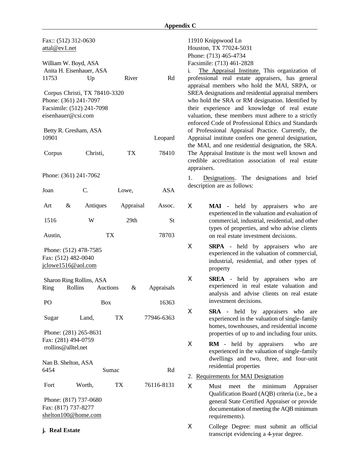| Fax:: (512) 312-0630<br>attal@ev1.net                                                                     |                       |            |       |           |            |
|-----------------------------------------------------------------------------------------------------------|-----------------------|------------|-------|-----------|------------|
| William W. Boyd, ASA<br>Anita H. Eisenhauer, ASA<br>11753<br>River<br>Up<br>Rd                            |                       |            |       |           |            |
| Corpus Christi, TX 78410-3320<br>Phone: (361) 241-7097<br>Facsimile: (512) 241-7098<br>eisenhauer@csi.com |                       |            |       |           |            |
| 10901                                                                                                     | Betty R. Gresham, ASA |            |       |           | Leopard    |
| Corpus                                                                                                    |                       | Christi,   |       | TX        | 78410      |
|                                                                                                           | Phone: (361) 241-7062 |            |       |           |            |
| Joan                                                                                                      | $C$ .                 |            | Lowe, |           | <b>ASA</b> |
| Art                                                                                                       | &                     | Antiques   |       | Appraisal | Assoc.     |
| 1516                                                                                                      |                       | W          |       | 29th      | St         |
| Austin,                                                                                                   |                       | TX         |       |           | 78703      |
| Phone: (512) 478-7585<br>Fax: (512) 482-0040<br>jclowe1516@aol.com                                        |                       |            |       |           |            |
| Sharon Ring Rollins, ASA<br>Ring<br>Rollins Auctions<br>&<br>Appraisals                                   |                       |            |       |           |            |
| P <sub>O</sub>                                                                                            |                       | <b>Box</b> |       |           | 16363      |
| Sugar                                                                                                     | Land,                 |            | TX    |           | 77946-6363 |
| Phone: (281) 265-8631<br>Fax: (281) 494-0759<br>rrollins@alltel.net                                       |                       |            |       |           |            |
| Nan B. Shelton, ASA<br>6454<br>Rd<br>Sumac                                                                |                       |            |       |           |            |
| Fort                                                                                                      | Worth,                |            | TX    |           | 76116-8131 |
| Phone: (817) 737-0680<br>Fax: (817) 737-8277<br>shelton100@home.com                                       |                       |            |       |           |            |

**j. Real Estate**

11910 Knippwood Ln Houston, TX 77024-5031 Phone: (713) 465-4734 Facsimile: (713) 461-2828

i. The Appraisal Institute. This organization of professional real estate appraisers, has general appraisal members who hold the MAI, SRPA, or SREA designations and residential appraisal members who hold the SRA or RM designation. Identified by their experience and knowledge of real estate valuation, these members must adhere to a strictly enforced Code of Professional Ethics and Standards of Professional Appraisal Practice. Currently, the Appraisal institute confers one general designation, the MAI, and one residential designation, the SRA. The Appraisal Institute is the most well known and credible accreditation association of real estate appraisers.

1. Designations. The designations and brief description are as follows:

Χ **MAI** - held by appraisers who are experienced in the valuation and evaluation of commercial, industrial, residential, and other types of properties, and who advise clients on real estate investment decisions.

Χ **SRPA** - held by appraisers who are experienced in the valuation of commercial, industrial, residential, and other types of property

Χ **SREA** - held by appraisers who are experienced in real estate valuation and analysis and advise clients on real estate investment decisions.

Χ **SRA -** held by appraisers who are experienced in the valuation of single-family homes, townhouses, and residential income properties of up to and including four units.

Χ **RM** - held by appraisers who are experienced in the valuation of single-family dwellings and two, three, and four-unit residential properties

2. Requirements for MAI Designation

Χ Must meet the minimum Appraiser Qualification Board (AQB) criteria (i.e., be a general State Certified Appraiser or provide documentation of meeting the AQB minimum requirements).

Χ College Degree: must submit an official transcript evidencing a 4-year degree.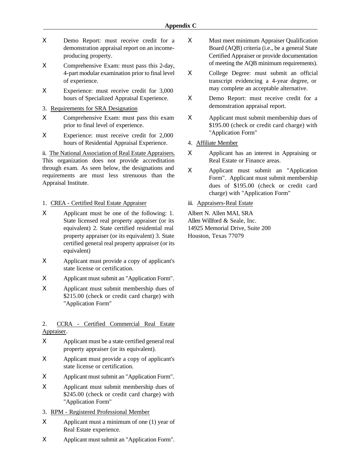- Χ Demo Report: must receive credit for a demonstration appraisal report on an incomeproducing property.
- Χ Comprehensive Exam: must pass this 2-day, 4-part modular examination prior to final level of experience.
- Χ Experience: must receive credit for 3,000 hours of Specialized Appraisal Experience.
- 3. Requirements for SRA Designation
- Χ Comprehensive Exam: must pass this exam prior to final level of experience.
- Χ Experience: must receive credit for 2,000 hours of Residential Appraisal Experience.

ii. The National Association of Real Estate Appraisers. This organization does not provide accreditation through exam. As seen below, the designations and requirements are must less strenuous than the Appraisal Institute.

- 1. CREA Certified Real Estate Appraiser
- Χ Applicant must be one of the following: 1. State licensed real property appraiser (or its equivalent) 2. State certified residential real property appraiser (or its equivalent) 3. State certified general real property appraiser (or its equivalent)
- Χ Applicant must provide a copy of applicant's state license or certification.
- Χ Applicant must submit an "Application Form".
- Χ Applicant must submit membership dues of \$215.00 (check or credit card charge) with "Application Form"

## 2. CCRA - Certified Commercial Real Estate Appraiser.

- Χ Applicant must be a state certified general real property appraiser (or its equivalent).
- Χ Applicant must provide a copy of applicant's state license or certification.
- Χ Applicant must submit an "Application Form".
- Χ Applicant must submit membership dues of \$245.00 (check or credit card charge) with "Application Form"
- 3. RPM Registered Professional Member
- Χ Applicant must a minimum of one (1) year of Real Estate experience.
- Χ Applicant must submit an "Application Form".
- Χ Must meet minimum Appraiser Qualification Board (AQB) criteria (i.e., be a general State Certified Appraiser or provide documentation of meeting the AQB minimum requirements).
- Χ College Degree: must submit an official transcript evidencing a 4-year degree, or may complete an acceptable alternative.
- Χ Demo Report: must receive credit for a demonstration appraisal report.
- Χ Applicant must submit membership dues of \$195.00 (check or credit card charge) with "Application Form"
- 4. Affiliate Member
- Χ Applicant has an interest in Appraising or Real Estate or Finance areas.
- Χ Applicant must submit an "Application Form". Applicant must submit membership dues of \$195.00 (check or credit card charge) with "Application Form"
- iii. Appraisers-Real Estate

Albert N. Allen MAI, SRA Allen Willford & Seale, Inc. 14925 Memorial Drive, Suite 200 Houston, Texas 77079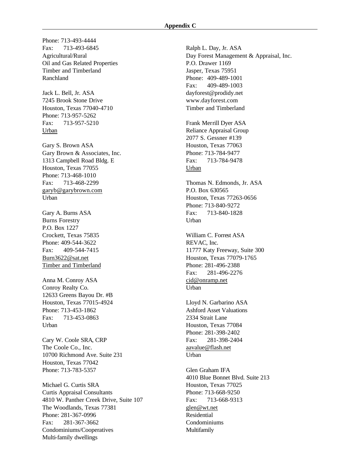Phone: 713-493-4444 Fax: 713-493-6845 Agricultural/Rural Oil and Gas Related Properties Timber and Timberland Ranchland

Jack L. Bell, Jr. ASA 7245 Brook Stone Drive Houston, Texas 77040-4710 Phone: 713-957-5262 Fax: 713-957-5210 Urban

Gary S. Brown ASA Gary Brown & Associates, Inc. 1313 Campbell Road Bldg. E Houston, Texas 77055 Phone: 713-468-1010 Fax: 713-468-2299 garyb@garybrown.com Urban

Gary A. Burns ASA Burns Forestry P.O. Box 1227 Crockett, Texas 75835 Phone: 409-544-3622 Fax: 409-544-7415 Burn3622@sat.net Timber and Timberland

Anna M. Conroy ASA Conroy Realty Co. 12633 Greens Bayou Dr. #B Houston, Texas 77015-4924 Phone: 713-453-1862 Fax: 713-453-0863 Urban

Cary W. Coole SRA, CRP The Coole Co., Inc. 10700 Richmond Ave. Suite 231 Houston, Texas 77042 Phone: 713-783-5357

Michael G. Curtis SRA Curtis Appraisal Consultants 4810 W. Panther Creek Drive, Suite 107 The Woodlands, Texas 77381 Phone: 281-367-0996 Fax: 281-367-3662 Condominiums/Cooperatives Multi-family dwellings

Ralph L. Day, Jr. ASA Day Forest Management & Appraisal, Inc. P.O. Drawer 1169 Jasper, Texas 75951 Phone: 409-489-1001 Fax: 409-489-1003 dayforest@prodidy.net www.dayforest.com Timber and Timberland Frank Merrill Dyer ASA Reliance Appraisal Group 2077 S. Gessner #139 Houston, Texas 77063 Phone: 713-784-9477 Fax: 713-784-9478 Urban Thomas N. Edmonds, Jr. ASA P.O. Box 630565 Houston, Texas 77263-0656 Phone: 713-840-9272 Fax: 713-840-1828 Urban

William C. Forrest ASA REVAC, Inc. 11777 Katy Freeway, Suite 300 Houston, Texas 77079-1765 Phone: 281-496-2388 Fax: 281-496-2276 cid@onramp.net Urban

Lloyd N. Garbarino ASA Ashford Asset Valuations 2334 Strait Lane Houston, Texas 77084 Phone: 281-398-2402 Fax: 281-398-2404 aavalue@flash.net Urban

Glen Graham IFA 4010 Blue Bonnet Blvd. Suite 213 Houston, Texas 77025 Phone: 713-668-9250 Fax: 713-668-9313 glen@wt.net Residential Condominiums Multifamily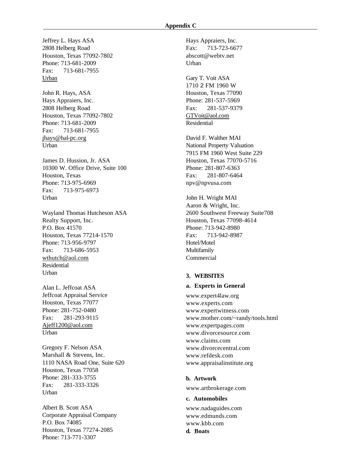Jeffrey L. Hays ASA Hays Appraiers, Inc. 2808 Helberg Road Houston, Texas 77092-7802 Phone: 713-681-2009 Fax: 713-681-7955 Urban

John R. Hays, ASA Hays Appraiers, Inc. 2808 Helberg Road Houston, Texas 77092-7802 Phone: 713-681-2009 Fax: 713-681-7955 jhays@hal-pc.org Urban

James D. Hussion, Jr. ASA 10300 W. Office Drive, Suite 100 Houston, Texas Phone: 713-975-6969 Fax: 713-975-6973 Urban

Wayland Thomas Hutcheson ASA Realty Support, Inc. P.O. Box 41570 Houston, Texas 77214-1570 Phone: 713-956-9797 Fax: 713-686-5953 wthutch@aol.com Residential **Urban** 

Alan L. Jeffcoat ASA Jeffcoat Appraisal Service Houston, Texas 77077 Phone: 281-752-0480 Fax: 281-293-9115 Ajeff1200@aol.com Urban

Gregory F. Nelson ASA Marshall & Stevens, Inc. 1110 NASA Road One, Suite 620 Houston, Texas 77058 Phone: 281-333-3755 Fax: 281-333-3326 Urban

Albert B. Scott ASA Corporate Appraisal Company P.O. Box 74085 Houston, Texas 77274-2085 Phone: 713-771-3307

Fax: 713-723-6677 abscott@webtv.net Urban

Gary T. Voit ASA 1710 2 FM 1960 W Houston, Texas 77090 Phone: 281-537-5969 Fax: 281-537-9379 GTVoit@aol.com Residential

David F. Walther MAI National Property Valuation 7915 FM 1960 West Suite 229 Houston, Texas 77070-5716 Phone: 281-807-6363 Fax: 281-807-6464 npv@npvusa.com

John H. Wright MAI Aaron & Wright, Inc. 2600 Southwest Freeway Suite708 Houston, Texas 77098-4614 Phone: 713-942-8980 Fax: 713-942-8987 Hotel/Motel Multifamily Commercial

### **3. WEBSITES**

#### **a. Experts in General**

www.expert4law.org www.experts.com www.expertwitness.com www.mother.com/~randy/tools.html www.expertpages.com www.divorcesource.com www.claims.com www.divorcecentral.com www.refdesk.com www.appraisalinstitute.org

#### **b. Artwork**

www.artbrokerage.com

**c. Automobiles**

www.nadaguides.com www.edmunds.com www.kbb.com **d. Boats**